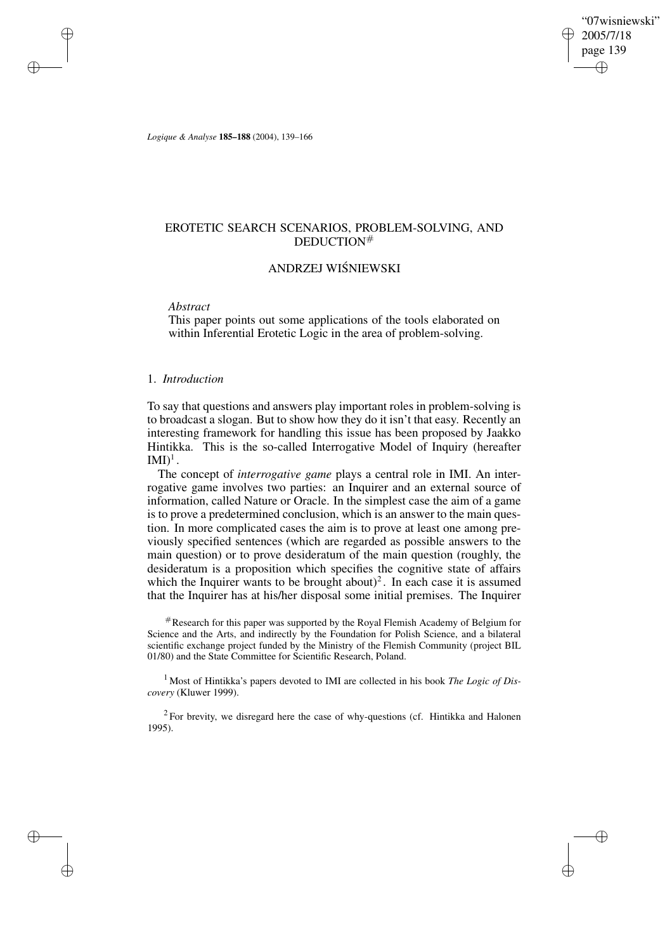"07wisniewski" 2005/7/18 page 139 ✐ ✐

✐

✐

*Logique & Analyse* **185–188** (2004), 139–166

# EROTETIC SEARCH SCENARIOS, PROBLEM-SOLVING, AND DEDUCTION#

# ANDRZEJ WISNIEWSKI ´

*Abstract*

✐

✐

✐

✐

This paper points out some applications of the tools elaborated on within Inferential Erotetic Logic in the area of problem-solving.

# 1. *Introduction*

To say that questions and answers play important roles in problem-solving is to broadcast a slogan. But to show how they do it isn't that easy. Recently an interesting framework for handling this issue has been proposed by Jaakko Hintikka. This is the so-called Interrogative Model of Inquiry (hereafter  $\mathrm{IMI})^{1}$  .

The concept of *interrogative game* plays a central role in IMI. An interrogative game involves two parties: an Inquirer and an external source of information, called Nature or Oracle. In the simplest case the aim of a game is to prove a predetermined conclusion, which is an answer to the main question. In more complicated cases the aim is to prove at least one among previously specified sentences (which are regarded as possible answers to the main question) or to prove desideratum of the main question (roughly, the desideratum is a proposition which specifies the cognitive state of affairs which the Inquirer wants to be brought about)<sup>2</sup>. In each case it is assumed that the Inquirer has at his/her disposal some initial premises. The Inquirer

#Research for this paper was supported by the Royal Flemish Academy of Belgium for Science and the Arts, and indirectly by the Foundation for Polish Science, and a bilateral scientific exchange project funded by the Ministry of the Flemish Community (project BIL 01/80) and the State Committee for Scientific Research, Poland.

<sup>1</sup> Most of Hintikka's papers devoted to IMI are collected in his book *The Logic of Discovery* (Kluwer 1999).

 $2$  For brevity, we disregard here the case of why-questions (cf. Hintikka and Halonen 1995).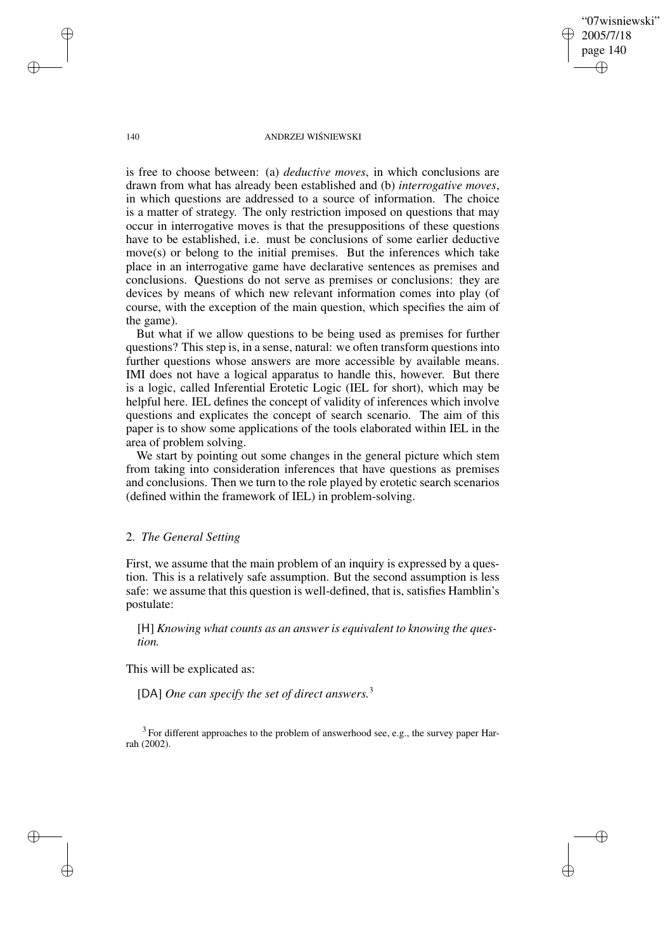"07wisniewski" 2005/7/18 page 140 ✐ ✐

✐

✐

#### 140 ANDRZEJ WIŚNIEWSKI

is free to choose between: (a) *deductive moves*, in which conclusions are drawn from what has already been established and (b) *interrogative moves*, in which questions are addressed to a source of information. The choice is a matter of strategy. The only restriction imposed on questions that may occur in interrogative moves is that the presuppositions of these questions have to be established, i.e. must be conclusions of some earlier deductive move(s) or belong to the initial premises. But the inferences which take place in an interrogative game have declarative sentences as premises and conclusions. Questions do not serve as premises or conclusions: they are devices by means of which new relevant information comes into play (of course, with the exception of the main question, which specifies the aim of the game).

But what if we allow questions to be being used as premises for further questions? This step is, in a sense, natural: we often transform questions into further questions whose answers are more accessible by available means. IMI does not have a logical apparatus to handle this, however. But there is a logic, called Inferential Erotetic Logic (IEL for short), which may be helpful here. IEL defines the concept of validity of inferences which involve questions and explicates the concept of search scenario. The aim of this paper is to show some applications of the tools elaborated within IEL in the area of problem solving.

We start by pointing out some changes in the general picture which stem from taking into consideration inferences that have questions as premises and conclusions. Then we turn to the role played by erotetic search scenarios (defined within the framework of IEL) in problem-solving.

# 2. *The General Setting*

First, we assume that the main problem of an inquiry is expressed by a question. This is a relatively safe assumption. But the second assumption is less safe: we assume that this question is well-defined, that is, satisfies Hamblin's postulate:

[H] *Knowing what counts as an answer is equivalent to knowing the question.*

This will be explicated as:

[DA] *One can specify the set of direct answers.*<sup>3</sup>

 $3$  For different approaches to the problem of answerhood see, e.g., the survey paper Harrah (2002).

✐

✐

✐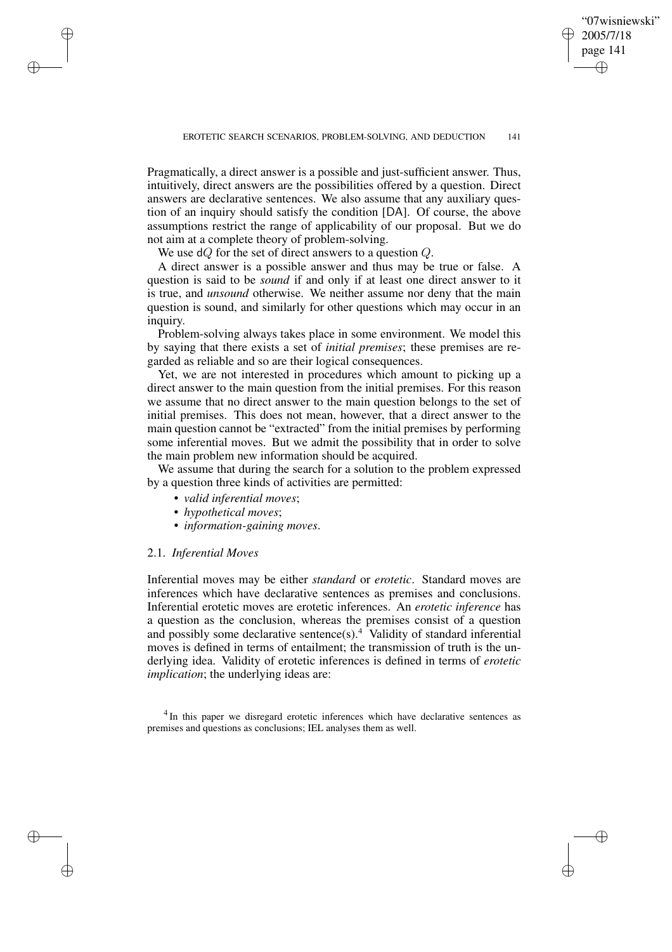✐

Pragmatically, a direct answer is a possible and just-sufficient answer. Thus, intuitively, direct answers are the possibilities offered by a question. Direct answers are declarative sentences. We also assume that any auxiliary question of an inquiry should satisfy the condition [DA]. Of course, the above assumptions restrict the range of applicability of our proposal. But we do not aim at a complete theory of problem-solving.

We use  $dQ$  for the set of direct answers to a question Q.

A direct answer is a possible answer and thus may be true or false. A question is said to be *sound* if and only if at least one direct answer to it is true, and *unsound* otherwise. We neither assume nor deny that the main question is sound, and similarly for other questions which may occur in an inquiry.

Problem-solving always takes place in some environment. We model this by saying that there exists a set of *initial premises*; these premises are regarded as reliable and so are their logical consequences.

Yet, we are not interested in procedures which amount to picking up a direct answer to the main question from the initial premises. For this reason we assume that no direct answer to the main question belongs to the set of initial premises. This does not mean, however, that a direct answer to the main question cannot be "extracted" from the initial premises by performing some inferential moves. But we admit the possibility that in order to solve the main problem new information should be acquired.

We assume that during the search for a solution to the problem expressed by a question three kinds of activities are permitted:

- *valid inferential moves*;
- *hypothetical moves*;
- *information-gaining moves*.

# 2.1. *Inferential Moves*

✐

✐

✐

✐

Inferential moves may be either *standard* or *erotetic*. Standard moves are inferences which have declarative sentences as premises and conclusions. Inferential erotetic moves are erotetic inferences. An *erotetic inference* has a question as the conclusion, whereas the premises consist of a question and possibly some declarative sentence(s).<sup>4</sup> Validity of standard inferential moves is defined in terms of entailment; the transmission of truth is the underlying idea. Validity of erotetic inferences is defined in terms of *erotetic implication*; the underlying ideas are:

<sup>4</sup> In this paper we disregard erotetic inferences which have declarative sentences as premises and questions as conclusions; IEL analyses them as well.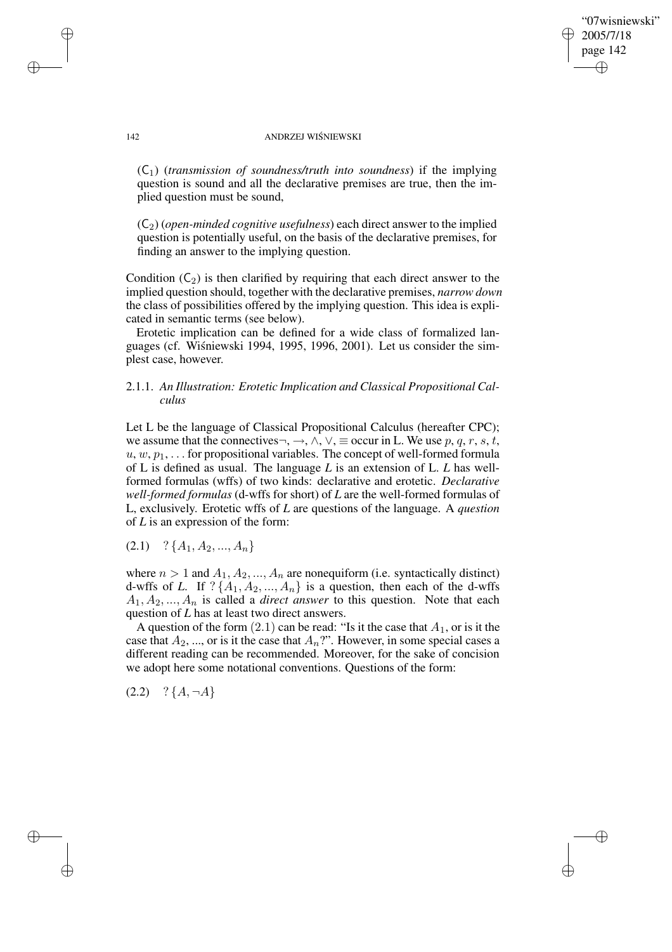✐

### 142 ANDRZEJ WIŚNIEWSKI

(C1) (*transmission of soundness/truth into soundness*) if the implying question is sound and all the declarative premises are true, then the implied question must be sound,

(C2) (*open-minded cognitive usefulness*) each direct answer to the implied question is potentially useful, on the basis of the declarative premises, for finding an answer to the implying question.

Condition  $(C_2)$  is then clarified by requiring that each direct answer to the implied question should, together with the declarative premises, *narrow down* the class of possibilities offered by the implying question. This idea is explicated in semantic terms (see below).

Erotetic implication can be defined for a wide class of formalized languages (cf. Wiśniewski 1994, 1995, 1996, 2001). Let us consider the simplest case, however.

# 2.1.1. *An Illustration: Erotetic Implication and Classical Propositional Calculus*

Let L be the language of Classical Propositional Calculus (hereafter CPC); we assume that the connectives $\neg, \rightarrow, \land, \lor, \equiv$  occur in L. We use p, q, r, s, t,  $u, w, p_1, \ldots$  for propositional variables. The concept of well-formed formula of L is defined as usual. The language *L* is an extension of L. *L* has wellformed formulas (wffs) of two kinds: declarative and erotetic. *Declarative well-formed formulas* (d-wffs for short) of *L* are the well-formed formulas of L, exclusively. Erotetic wffs of *L* are questions of the language. A *question* of *L* is an expression of the form:

 $(2.1)$  ? { $A_1, A_2, ..., A_n$ }

where  $n > 1$  and  $A_1, A_2, ..., A_n$  are nonequiform (i.e. syntactically distinct) d-wffs of *L*. If  $?$  { $A_1$ ,  $A_2$ , ...,  $A_n$ } is a question, then each of the d-wffs  $A_1, A_2, ..., A_n$  is called a *direct answer* to this question. Note that each question of *L* has at least two direct answers.

A question of the form  $(2.1)$  can be read: "Is it the case that  $A_1$ , or is it the case that  $A_2$ , ..., or is it the case that  $A_n$ ?". However, in some special cases a different reading can be recommended. Moreover, for the sake of concision we adopt here some notational conventions. Questions of the form:

 $(2.2)$  ?  ${A, \neg A}$ 

✐

✐

✐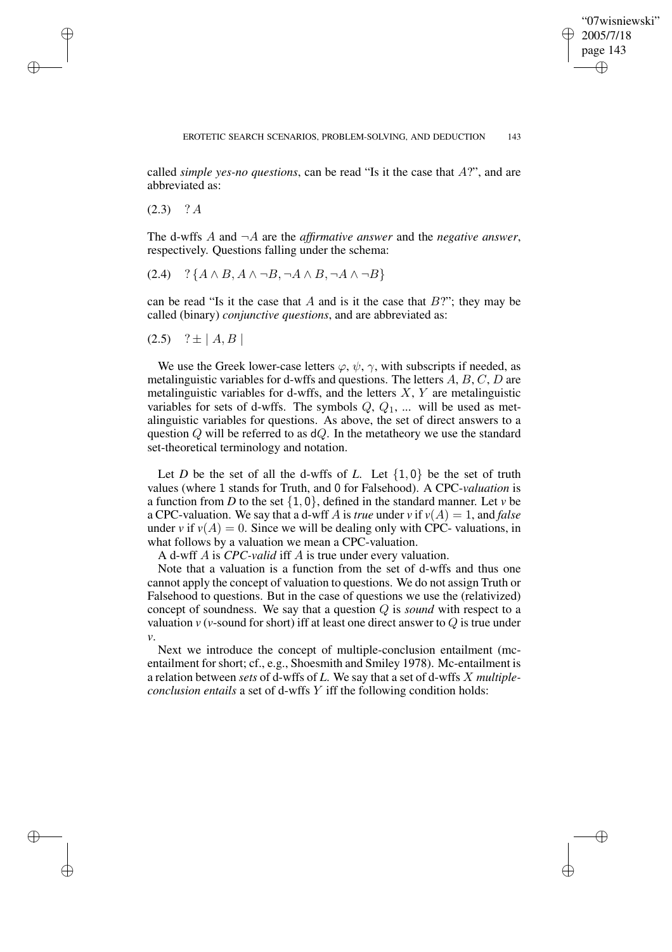✐

called *simple yes-no questions*, can be read "Is it the case that A?", and are abbreviated as:

 $(2.3)$  ? A

✐

✐

✐

✐

The d-wffs  $A$  and  $\neg A$  are the *affirmative answer* and the *negative answer*, respectively. Questions falling under the schema:

$$
(2.4) \quad ? \{A \land B, A \land \neg B, \neg A \land B, \neg A \land \neg B\}
$$

can be read "Is it the case that A and is it the case that  $B$ ?"; they may be called (binary) *conjunctive questions*, and are abbreviated as:

$$
(2.5)
$$
 ?  $\pm |A, B|$ 

We use the Greek lower-case letters  $\varphi$ ,  $\psi$ ,  $\gamma$ , with subscripts if needed, as metalinguistic variables for d-wffs and questions. The letters  $A, B, C, D$  are metalinguistic variables for d-wffs, and the letters  $X, Y$  are metalinguistic variables for sets of d-wffs. The symbols  $Q, Q_1, \dots$  will be used as metalinguistic variables for questions. As above, the set of direct answers to a question Q will be referred to as  $dQ$ . In the metatheory we use the standard set-theoretical terminology and notation.

Let *D* be the set of all the d-wffs of *L*. Let  $\{1, 0\}$  be the set of truth values (where 1 stands for Truth, and 0 for Falsehood). A CPC-*valuation* is a function from *D* to the set  $\{1, 0\}$ , defined in the standard manner. Let *v* be a CPC-valuation. We say that a d-wff A is *true* under *v* if  $v(A) = 1$ , and *false* under *v* if  $v(A) = 0$ . Since we will be dealing only with CPC- valuations, in what follows by a valuation we mean a CPC-valuation.

A d-wff A is *CPC-valid* iff A is true under every valuation.

Note that a valuation is a function from the set of d-wffs and thus one cannot apply the concept of valuation to questions. We do not assign Truth or Falsehood to questions. But in the case of questions we use the (relativized) concept of soundness. We say that a question Q is *sound* with respect to a valuation  $v$  ( $v$ -sound for short) iff at least one direct answer to  $Q$  is true under *v*.

Next we introduce the concept of multiple-conclusion entailment (mcentailment for short; cf., e.g., Shoesmith and Smiley 1978). Mc-entailment is a relation between *sets* of d-wffs of *L*. We say that a set of d-wffs X *multipleconclusion entails* a set of d-wffs Y iff the following condition holds: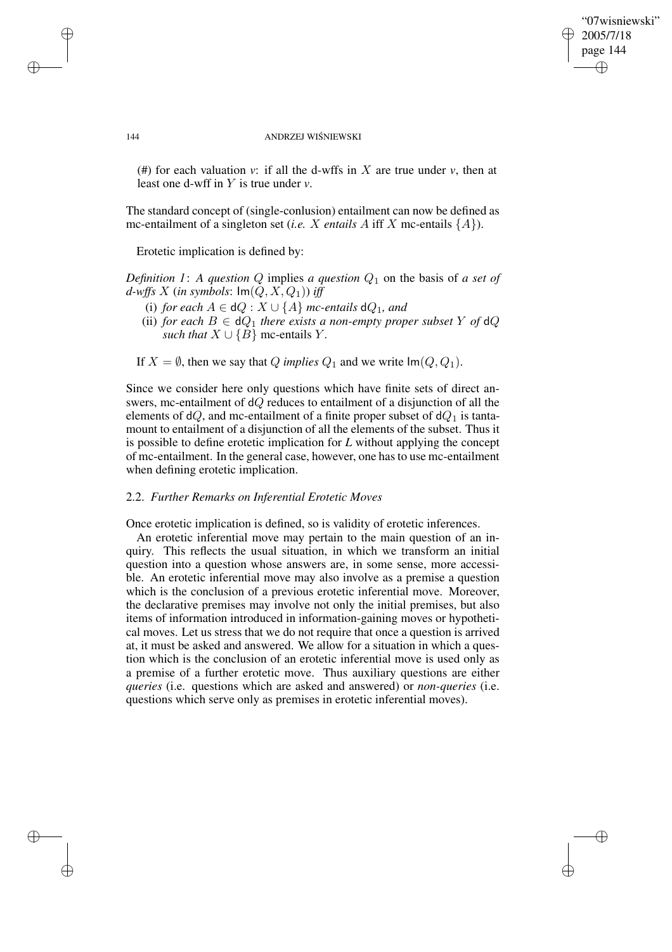## "07wisniewski" 2005/7/18 page 144 ✐ ✐

✐

✐

### 144 ANDRZEJ WIŚNIEWSKI

(#) for each valuation *v*: if all the d-wffs in X are true under *v*, then at least one d-wff in Y is true under *v*.

The standard concept of (single-conlusion) entailment can now be defined as mc-entailment of a singleton set (*i.e.* X *entails* A iff X mc-entails  $\{A\}$ ).

Erotetic implication is defined by:

*Definition* 1: A *question* Q implies *a question*  $Q_1$  on the basis of *a set of d*-wffs X (*in* symbols:  $Im(Q, X, Q_1)$ ) *iff* 

- (i) *for each*  $A \in dQ : X \cup \{A\}$  *mc-entails*  $dQ_1$ *, and*
- (ii) *for each*  $B \in dQ_1$  *there exists a non-empty proper subset* Y *of*  $dQ$ *such that*  $X \cup \{B\}$  mc-entails Y.

If  $X = \emptyset$ , then we say that Q *implies*  $Q_1$  and we write  $\text{Im}(Q, Q_1)$ .

Since we consider here only questions which have finite sets of direct answers, mc-entailment of dQ reduces to entailment of a disjunction of all the elements of dQ, and mc-entailment of a finite proper subset of  $dQ_1$  is tantamount to entailment of a disjunction of all the elements of the subset. Thus it is possible to define erotetic implication for *L* without applying the concept of mc-entailment. In the general case, however, one has to use mc-entailment when defining erotetic implication.

### 2.2. *Further Remarks on Inferential Erotetic Moves*

Once erotetic implication is defined, so is validity of erotetic inferences.

An erotetic inferential move may pertain to the main question of an inquiry. This reflects the usual situation, in which we transform an initial question into a question whose answers are, in some sense, more accessible. An erotetic inferential move may also involve as a premise a question which is the conclusion of a previous erotetic inferential move. Moreover, the declarative premises may involve not only the initial premises, but also items of information introduced in information-gaining moves or hypothetical moves. Let us stress that we do not require that once a question is arrived at, it must be asked and answered. We allow for a situation in which a question which is the conclusion of an erotetic inferential move is used only as a premise of a further erotetic move. Thus auxiliary questions are either *queries* (i.e. questions which are asked and answered) or *non-queries* (i.e. questions which serve only as premises in erotetic inferential moves).

✐

✐

✐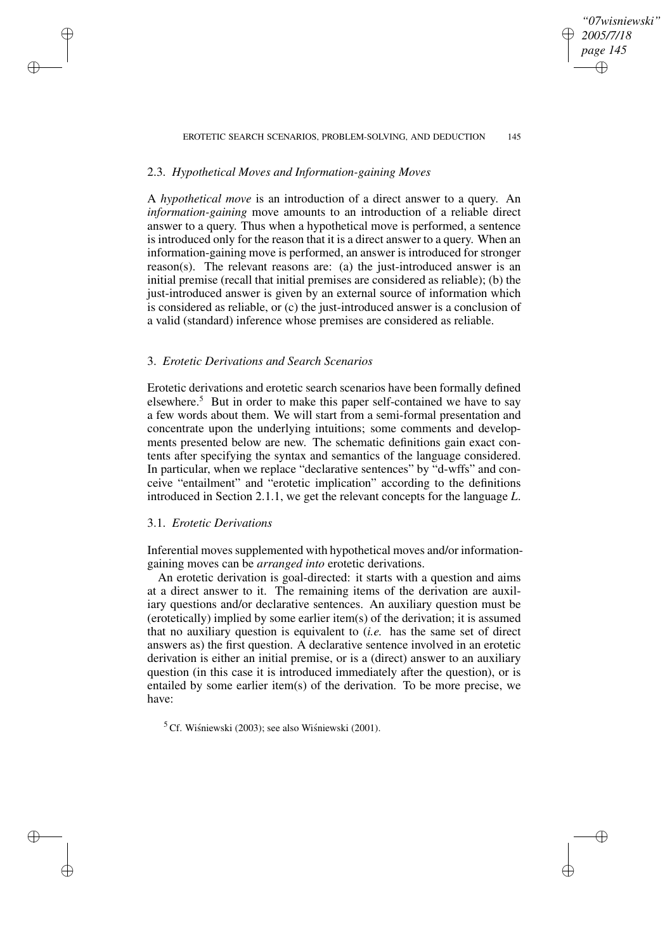#### EROTETIC SEARCH SCENARIOS, PROBLEM-SOLVING, AND DEDUCTION 145

*"07wisniewski" 2005/7/18 page 145*

✐

✐

✐

✐

# 2.3. *Hypothetical Moves and Information-gaining Moves*

A *hypothetical move* is an introduction of a direct answer to a query. An *information-gaining* move amounts to an introduction of a reliable direct answer to a query. Thus when a hypothetical move is performed, a sentence is introduced only for the reason that it is a direct answer to a query. When an information-gaining move is performed, an answer is introduced for stronger reason(s). The relevant reasons are: (a) the just-introduced answer is an initial premise (recall that initial premises are considered as reliable); (b) the just-introduced answer is given by an external source of information which is considered as reliable, or (c) the just-introduced answer is a conclusion of a valid (standard) inference whose premises are considered as reliable.

# 3. *Erotetic Derivations and Search Scenarios*

Erotetic derivations and erotetic search scenarios have been formally defined elsewhere.<sup>5</sup> But in order to make this paper self-contained we have to say a few words about them. We will start from a semi-formal presentation and concentrate upon the underlying intuitions; some comments and developments presented below are new. The schematic definitions gain exact contents after specifying the syntax and semantics of the language considered. In particular, when we replace "declarative sentences" by "d-wffs" and conceive "entailment" and "erotetic implication" according to the definitions introduced in Section 2.1.1, we get the relevant concepts for the language *L*.

### 3.1. *Erotetic Derivations*

✐

✐

✐

✐

Inferential moves supplemented with hypothetical moves and/or informationgaining moves can be *arranged into* erotetic derivations.

An erotetic derivation is goal-directed: it starts with a question and aims at a direct answer to it. The remaining items of the derivation are auxiliary questions and/or declarative sentences. An auxiliary question must be (erotetically) implied by some earlier item(s) of the derivation; it is assumed that no auxiliary question is equivalent to (*i.e.* has the same set of direct answers as) the first question. A declarative sentence involved in an erotetic derivation is either an initial premise, or is a (direct) answer to an auxiliary question (in this case it is introduced immediately after the question), or is entailed by some earlier item(s) of the derivation. To be more precise, we have:

 $5$  Cf. Wiśniewski (2003); see also Wiśniewski (2001).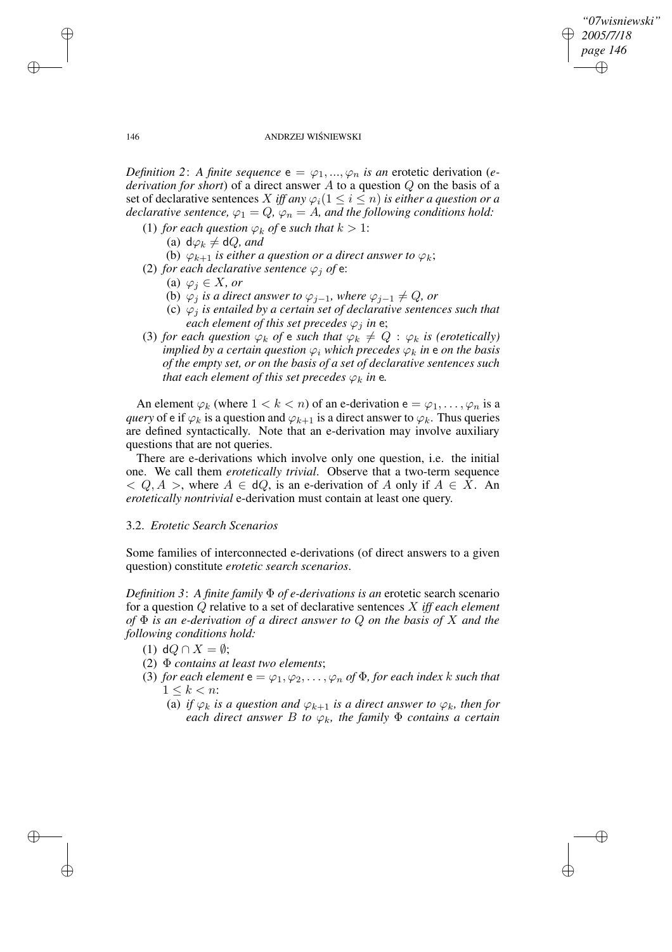✐

### 146 ANDRZEJ WIŚNIEWSKI

*Definition* 2: *A finite sequence*  $e = \varphi_1, ..., \varphi_n$  *is an erotetic derivation (ederivation for short*) of a direct answer A to a question Q on the basis of a set of declarative sentences X iff any  $\varphi_i(1 \leq i \leq n)$  is either a question or a *declarative sentence,*  $\varphi_1 = Q$ ,  $\varphi_n = A$ , and the following conditions hold:

- (1) *for each question*  $\varphi_k$  *of*  $\epsilon$  *such that*  $k > 1$ :
	- (a)  $d\varphi_k \neq dQ$ *, and*
	- (b)  $\varphi_{k+1}$  *is either a question or a direct answer to*  $\varphi_k$ ;
- (2) *for each declarative sentence*  $\varphi_i$  *of*  $e$ :
	- (a)  $\varphi_i \in X$ *, or*
	- (b)  $\varphi_j$  *is a direct answer to*  $\varphi_{j-1}$ *, where*  $\varphi_{j-1} \neq Q$ *, or*
	- (c)  $\varphi_i$  *is entailed by a certain set of declarative sentences such that each element of this set precedes*  $\varphi_i$  *in* e;
- (3) *for each question*  $\varphi_k$  *of*  $\epsilon$  *such that*  $\varphi_k \neq Q : \varphi_k$  *is (erotetically) implied by a certain question*  $\varphi_i$  *which precedes*  $\varphi_k$  *in* **e** *on the basis of the empty set, or on the basis of a set of declarative sentences such that each element of this set precedes*  $\varphi_k$  *in* e.

An element  $\varphi_k$  (where  $1 < k < n$ ) of an e-derivation  $e = \varphi_1, \dots, \varphi_n$  is a *query* of e if  $\varphi_k$  is a question and  $\varphi_{k+1}$  is a direct answer to  $\varphi_k$ . Thus queries are defined syntactically. Note that an e-derivation may involve auxiliary questions that are not queries.

There are e-derivations which involve only one question, i.e. the initial one. We call them *erotetically trivial*. Observe that a two-term sequence  $Q, A >$ , where  $A \in dQ$ , is an e-derivation of A only if  $A \in X$ . An *erotetically nontrivial* e-derivation must contain at least one query.

## 3.2. *Erotetic Search Scenarios*

Some families of interconnected e-derivations (of direct answers to a given question) constitute *erotetic search scenarios*.

*Definition* 3: *A finite family*  $\Phi$  *of e-derivations is an* erotetic search scenario for a question Q relative to a set of declarative sentences X *iff each element of* Φ *is an e-derivation of a direct answer to* Q *on the basis of* X *and the following conditions hold:*

- (1) d $Q \cap X = \emptyset$ ;
- (2) Φ *contains at least two elements*;
- (3) *for each element*  $e = \varphi_1, \varphi_2, \dots, \varphi_n$  *of*  $\Phi$ *, for each index k such that*  $1 \leq k \leq n$ :
	- (a) *if*  $\varphi_k$  *is a question and*  $\varphi_{k+1}$  *is a direct answer to*  $\varphi_k$ *, then for each direct answer B to*  $\varphi_k$ *, the family*  $\Phi$  *contains a certain*

✐

✐

✐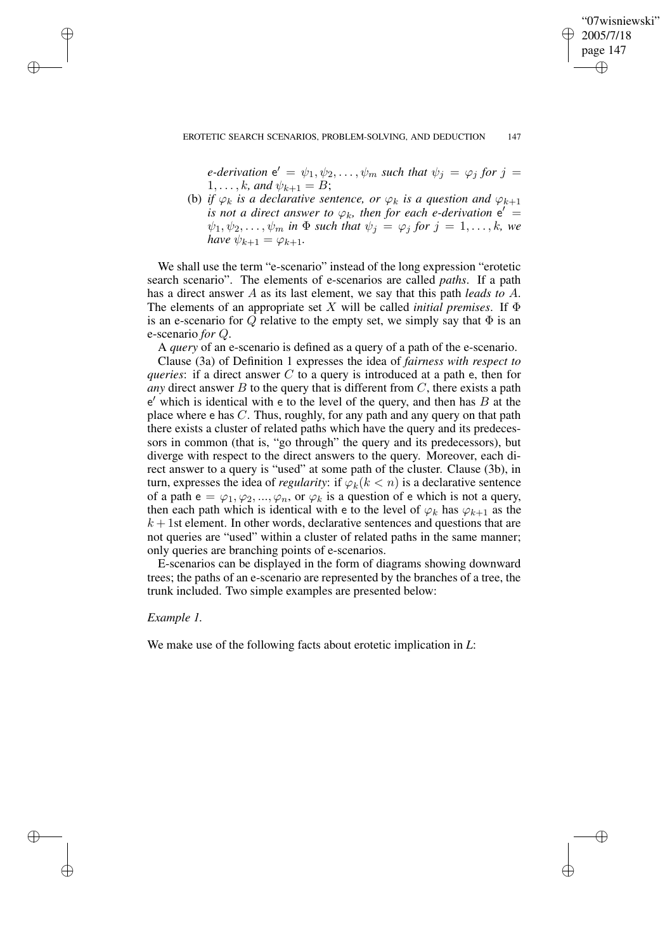## "07wisniewski" 2005/7/18 page 147 ✐ ✐

✐

✐

#### EROTETIC SEARCH SCENARIOS, PROBLEM-SOLVING, AND DEDUCTION 147

*e*-derivation  $e' = \psi_1, \psi_2, \dots, \psi_m$  such that  $\psi_j = \varphi_j$  for  $j =$  $1, \ldots, k$ *, and*  $\psi_{k+1} = B$ ;

(b) *if*  $\varphi_k$  *is a declarative sentence, or*  $\varphi_k$  *is a question and*  $\varphi_{k+1}$ *is* not a direct answer to  $\varphi_k$ , then for each *e*-derivation  $e' =$  $\psi_1, \psi_2, \dots, \psi_m$  *in*  $\Phi$  *such that*  $\psi_j = \varphi_j$  *for*  $j = 1, \dots, k$ *, we have*  $\psi_{k+1} = \varphi_{k+1}$ .

We shall use the term "e-scenario" instead of the long expression "erotetic search scenario". The elements of e-scenarios are called *paths*. If a path has a direct answer A as its last element, we say that this path *leads to* A. The elements of an appropriate set X will be called *initial premises*. If  $\Phi$ is an e-scenario for Q relative to the empty set, we simply say that  $\Phi$  is an e-scenario *for* Q.

A *query* of an e-scenario is defined as a query of a path of the e-scenario.

Clause (3a) of Definition 1 expresses the idea of *fairness with respect to queries*: if a direct answer C to a query is introduced at a path e, then for *any* direct answer  $B$  to the query that is different from  $C$ , there exists a path  $e'$  which is identical with e to the level of the query, and then has  $B$  at the place where  $\epsilon$  has C. Thus, roughly, for any path and any query on that path there exists a cluster of related paths which have the query and its predecessors in common (that is, "go through" the query and its predecessors), but diverge with respect to the direct answers to the query. Moreover, each direct answer to a query is "used" at some path of the cluster. Clause (3b), in turn, expresses the idea of *regularity*: if  $\varphi_k(k < n)$  is a declarative sentence of a path  $e = \varphi_1, \varphi_2, ..., \varphi_n$ , or  $\varphi_k$  is a question of e which is not a query, then each path which is identical with e to the level of  $\varphi_k$  has  $\varphi_{k+1}$  as the  $k + 1$ st element. In other words, declarative sentences and questions that are not queries are "used" within a cluster of related paths in the same manner; only queries are branching points of e-scenarios.

E-scenarios can be displayed in the form of diagrams showing downward trees; the paths of an e-scenario are represented by the branches of a tree, the trunk included. Two simple examples are presented below:

## *Example 1.*

✐

✐

✐

✐

We make use of the following facts about erotetic implication in *L*: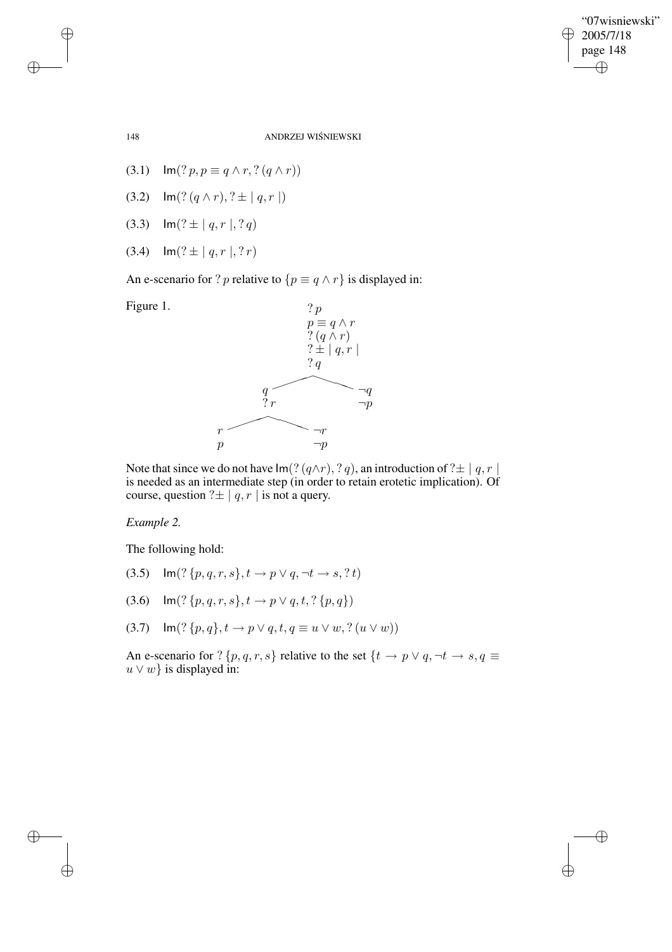$\bigoplus$ 

✐

148 ANDRZEJ WIŚNIEWSKI

- (3.1)  $\text{Im}(? p, p \equiv q \land r, ? (q \land r))$
- (3.2)  $\text{Im}(? (q \wedge r), ? \pm | q, r |)$
- (3.3)  $\text{Im}(? \pm |q, r|, ?q)$
- (3.4)  $\text{Im}(? \pm |q, r |, ?r)$

An e-scenario for ? p relative to  $\{p \equiv q \land r\}$  is displayed in:



Note that since we do not have  $Im($ ?  $(q \wedge r)$ , ? q), an introduction of ? $\pm |q, r|$ is needed as an intermediate step (in order to retain erotetic implication). Of course, question  $? \pm |q, r|$  is not a query.

# *Example 2.*

The following hold:

- (3.5)  $\text{Im}(? \{p, q, r, s\}, t \rightarrow p \lor q, \neg t \rightarrow s, ?t)$
- (3.6)  $\text{Im}(? \{p, q, r, s\}, t \rightarrow p \lor q, t, ? \{p, q\})$
- (3.7)  $\text{Im}(? \{p, q\}, t \rightarrow p \lor q, t, q \equiv u \lor w, ? (u \lor w))$

An e-scenario for ?  $\{p,q,r,s\}$  relative to the set  $\{t \to p \lor q, \neg t \to s, q \equiv 0\}$  $u \vee w$ } is displayed in:

✐

✐

✐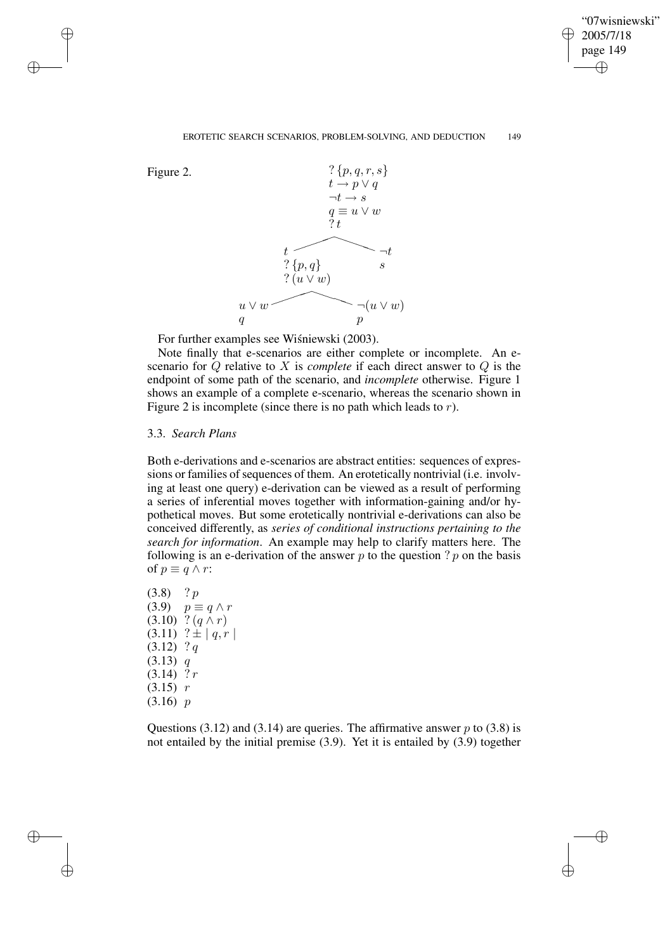✐

#### EROTETIC SEARCH SCENARIOS, PROBLEM-SOLVING, AND DEDUCTION 149

✐

✐

✐

✐



For further examples see Wiśniewski (2003).

Note finally that e-scenarios are either complete or incomplete. An escenario for Q relative to X is *complete* if each direct answer to Q is the endpoint of some path of the scenario, and *incomplete* otherwise. Figure 1 shows an example of a complete e-scenario, whereas the scenario shown in Figure 2 is incomplete (since there is no path which leads to  $r$ ).

## 3.3. *Search Plans*

Both e-derivations and e-scenarios are abstract entities: sequences of expressions or families of sequences of them. An erotetically nontrivial (i.e. involving at least one query) e-derivation can be viewed as a result of performing a series of inferential moves together with information-gaining and/or hypothetical moves. But some erotetically nontrivial e-derivations can also be conceived differently, as *series of conditional instructions pertaining to the search for information*. An example may help to clarify matters here. The following is an e-derivation of the answer  $p$  to the question ?  $p$  on the basis of  $p \equiv q \wedge r$ :

 $(3.8)$  ? p  $(3.9)$   $p \equiv q \wedge r$  $(3.10)$  ?  $(q \wedge r)$  $(3.11)$  ?  $\pm | q, r |$  $(3.12)$  ? q  $(3.13)$  q  $(3.14)$  ? r  $(3.15)$  r (3.16) p

Questions (3.12) and (3.14) are queries. The affirmative answer  $p$  to (3.8) is not entailed by the initial premise (3.9). Yet it is entailed by (3.9) together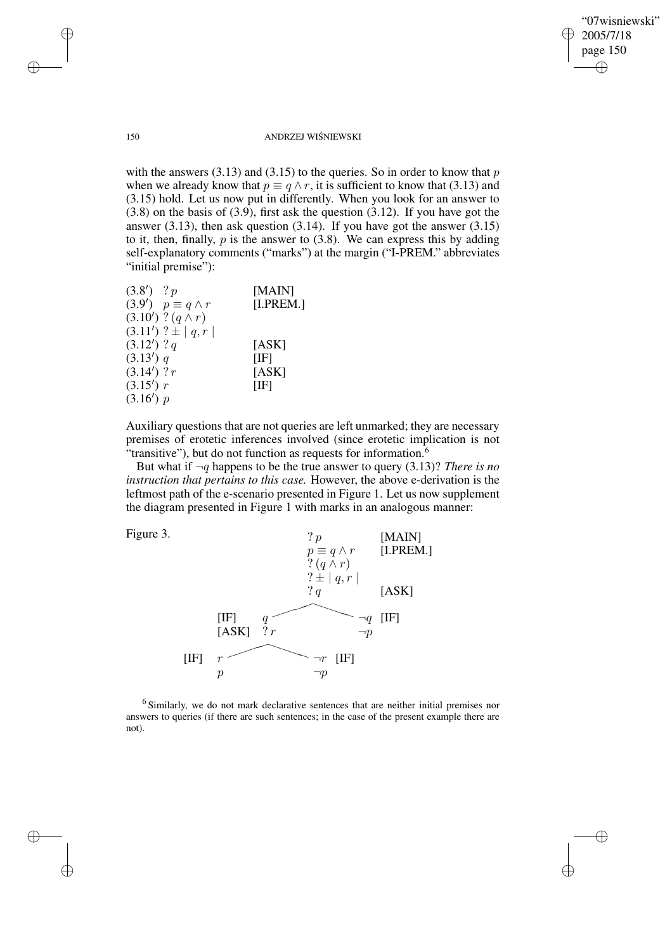✐

### 150 ANDRZEJ WIŚNIEWSKI

with the answers  $(3.13)$  and  $(3.15)$  to the queries. So in order to know that p when we already know that  $p \equiv q \wedge r$ , it is sufficient to know that (3.13) and (3.15) hold. Let us now put in differently. When you look for an answer to (3.8) on the basis of (3.9), first ask the question (3.12). If you have got the answer  $(3.13)$ , then ask question  $(3.14)$ . If you have got the answer  $(3.15)$ to it, then, finally,  $p$  is the answer to  $(3.8)$ . We can express this by adding self-explanatory comments ("marks") at the margin ("I-PREM." abbreviates "initial premise"):

| $(3.8')$ ? p                   | [MAIN]    |
|--------------------------------|-----------|
| $(3.9')$ $p \equiv q \wedge r$ | [I.PREM.] |
| $(3.10')$ ? $(q \wedge r)$     |           |
| $(3.11')$ ? $\pm$   q, r       |           |
| $(3.12')$ ? <i>q</i>           | [ASK]     |
| (3.13') q                      | [IF]      |
| $(3.14')$ ? r                  | [ASK]     |
| (3.15') r                      | [IF]      |
| (3.16') p                      |           |

Auxiliary questions that are not queries are left unmarked; they are necessary premises of erotetic inferences involved (since erotetic implication is not "transitive"), but do not function as requests for information.<sup>6</sup>

But what if  $\neg q$  happens to be the true answer to query (3.13)? *There is no instruction that pertains to this case.* However, the above e-derivation is the leftmost path of the e-scenario presented in Figure 1. Let us now supplement the diagram presented in Figure 1 with marks in an analogous manner:



<sup>6</sup> Similarly, we do not mark declarative sentences that are neither initial premises nor answers to queries (if there are such sentences; in the case of the present example there are not).

✐

✐

✐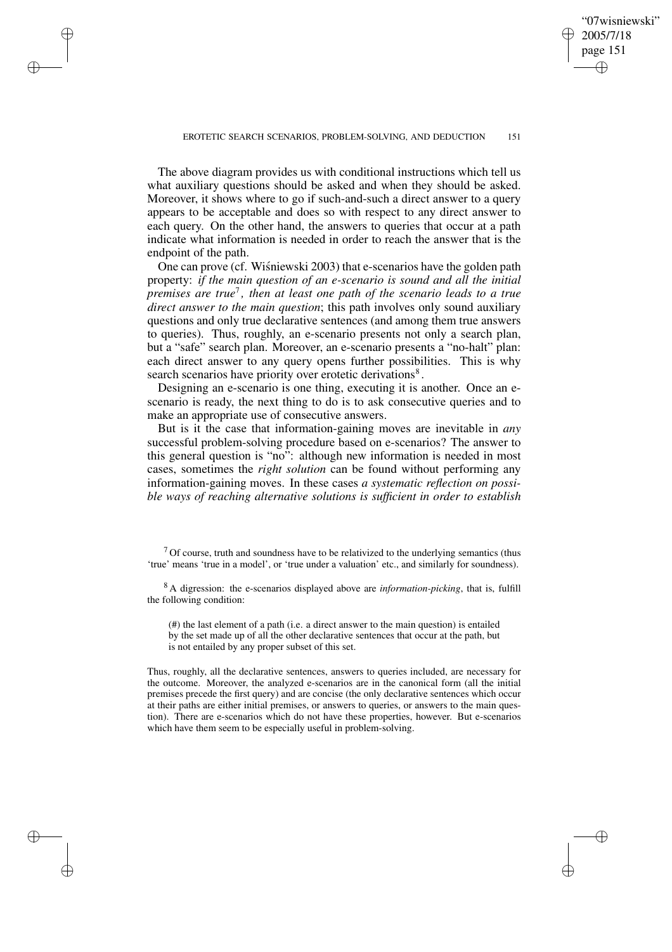✐

The above diagram provides us with conditional instructions which tell us what auxiliary questions should be asked and when they should be asked. Moreover, it shows where to go if such-and-such a direct answer to a query appears to be acceptable and does so with respect to any direct answer to each query. On the other hand, the answers to queries that occur at a path indicate what information is needed in order to reach the answer that is the endpoint of the path.

✐

✐

✐

✐

One can prove (cf. Wisniewski 2003) that e-scenarios have the golden path property: *if the main question of an e-scenario is sound and all the initial premises are true*<sup>7</sup> *, then at least one path of the scenario leads to a true direct answer to the main question*; this path involves only sound auxiliary questions and only true declarative sentences (and among them true answers to queries). Thus, roughly, an e-scenario presents not only a search plan, but a "safe" search plan. Moreover, an e-scenario presents a "no-halt" plan: each direct answer to any query opens further possibilities. This is why search scenarios have priority over erotetic derivations<sup>8</sup>.

Designing an e-scenario is one thing, executing it is another. Once an escenario is ready, the next thing to do is to ask consecutive queries and to make an appropriate use of consecutive answers.

But is it the case that information-gaining moves are inevitable in *any* successful problem-solving procedure based on e-scenarios? The answer to this general question is "no": although new information is needed in most cases, sometimes the *right solution* can be found without performing any information-gaining moves. In these cases *a systematic reflection on possible ways of reaching alternative solutions is sufficient in order to establish*

 $<sup>7</sup>$  Of course, truth and soundness have to be relativized to the underlying semantics (thus</sup> 'true' means 'true in a model', or 'true under a valuation' etc., and similarly for soundness).

<sup>8</sup> A digression: the e-scenarios displayed above are *information-picking*, that is, fulfill the following condition:

(#) the last element of a path (i.e. a direct answer to the main question) is entailed by the set made up of all the other declarative sentences that occur at the path, but is not entailed by any proper subset of this set.

Thus, roughly, all the declarative sentences, answers to queries included, are necessary for the outcome. Moreover, the analyzed e-scenarios are in the canonical form (all the initial premises precede the first query) and are concise (the only declarative sentences which occur at their paths are either initial premises, or answers to queries, or answers to the main question). There are e-scenarios which do not have these properties, however. But e-scenarios which have them seem to be especially useful in problem-solving.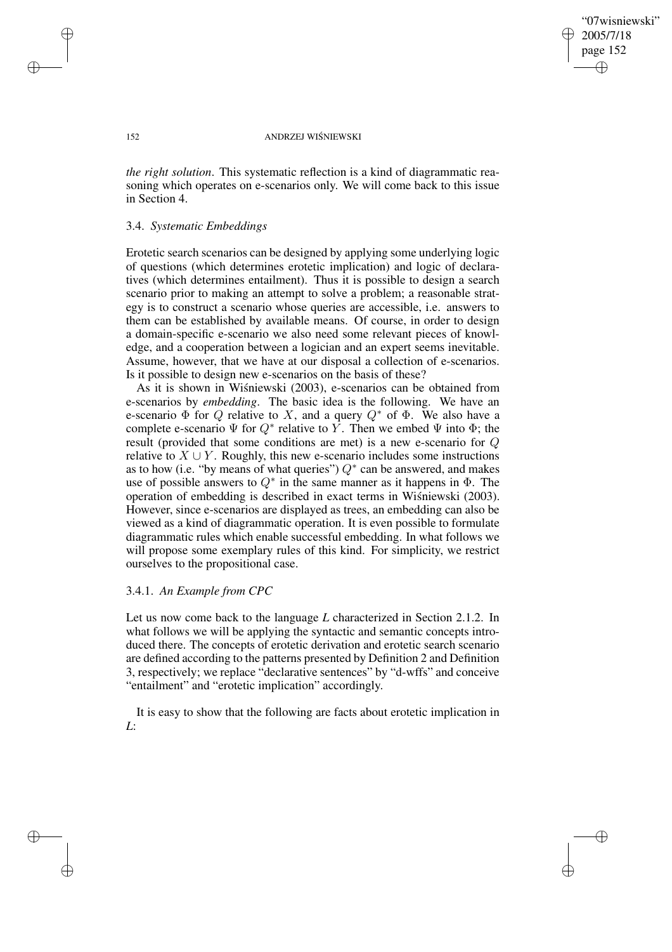"07wisniewski" 2005/7/18 page 152 ✐ ✐

✐

✐

### 152 ANDRZEJ WIŚNIEWSKI

*the right solution*. This systematic reflection is a kind of diagrammatic reasoning which operates on e-scenarios only. We will come back to this issue in Section 4.

# 3.4. *Systematic Embeddings*

Erotetic search scenarios can be designed by applying some underlying logic of questions (which determines erotetic implication) and logic of declaratives (which determines entailment). Thus it is possible to design a search scenario prior to making an attempt to solve a problem; a reasonable strategy is to construct a scenario whose queries are accessible, i.e. answers to them can be established by available means. Of course, in order to design a domain-specific e-scenario we also need some relevant pieces of knowledge, and a cooperation between a logician and an expert seems inevitable. Assume, however, that we have at our disposal a collection of e-scenarios. Is it possible to design new e-scenarios on the basis of these?

As it is shown in Wisniewski (2003), e-scenarios can be obtained from e-scenarios by *embedding*. The basic idea is the following. We have an e-scenario  $\Phi$  for Q relative to X, and a query  $Q^*$  of  $\Phi$ . We also have a complete e-scenario  $\Psi$  for  $Q^*$  relative to Y. Then we embed  $\Psi$  into  $\Phi$ ; the result (provided that some conditions are met) is a new e-scenario for Q relative to  $X \cup Y$ . Roughly, this new e-scenario includes some instructions as to how (i.e. "by means of what queries")  $Q^*$  can be answered, and makes use of possible answers to  $Q^*$  in the same manner as it happens in  $\Phi$ . The operation of embedding is described in exact terms in Wisniewski (2003). However, since e-scenarios are displayed as trees, an embedding can also be viewed as a kind of diagrammatic operation. It is even possible to formulate diagrammatic rules which enable successful embedding. In what follows we will propose some exemplary rules of this kind. For simplicity, we restrict ourselves to the propositional case.

# 3.4.1. *An Example from CPC*

Let us now come back to the language *L* characterized in Section 2.1.2. In what follows we will be applying the syntactic and semantic concepts introduced there. The concepts of erotetic derivation and erotetic search scenario are defined according to the patterns presented by Definition 2 and Definition 3, respectively; we replace "declarative sentences" by "d-wffs" and conceive "entailment" and "erotetic implication" accordingly.

It is easy to show that the following are facts about erotetic implication in *L*:

✐

✐

✐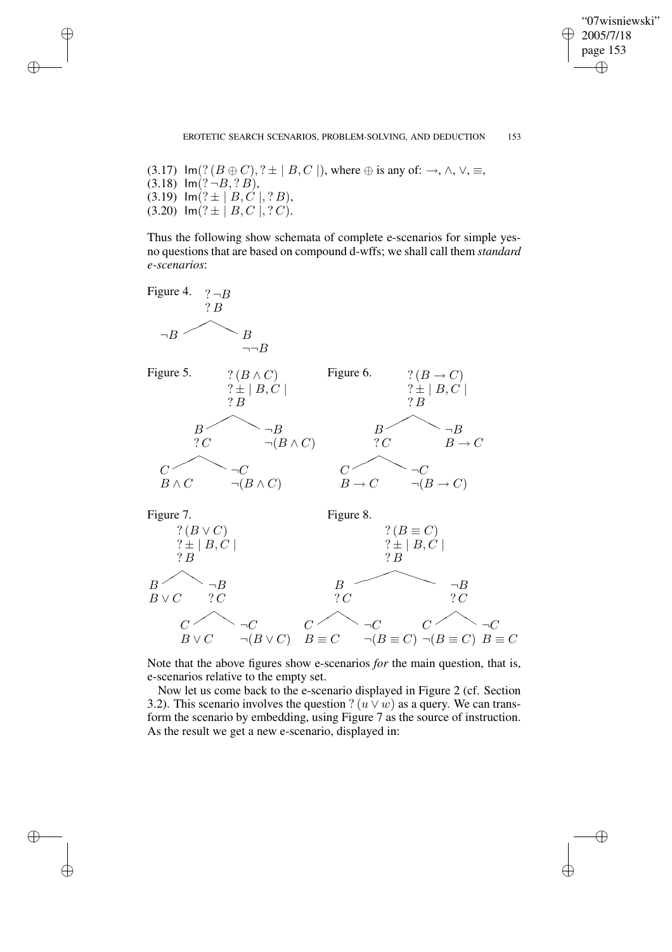"07wisniewski" 2005/7/18 page 153 ✐ ✐

✐

✐

(3.17) Im(?  $(B \oplus C)$ , ?  $\pm |B, C|$ , where  $\oplus$  is any of:  $\rightarrow$ ,  $\wedge$ ,  $\vee$ ,  $\equiv$ ,  $(3.18)$  Im $(? \neg B, ?B),$  $(3.19)$  Im $(? \pm |B, C|, ?B),$  $(3.20)$  Im $(? \pm |B, C|, ?C)$ .

✐

✐

✐

✐

Thus the following show schemata of complete e-scenarios for simple yesno questions that are based on compound d-wffs; we shall call them *standard e-scenarios*:



Note that the above figures show e-scenarios *for* the main question, that is, e-scenarios relative to the empty set.

Now let us come back to the e-scenario displayed in Figure 2 (cf. Section 3.2). This scenario involves the question ?  $(u \vee w)$  as a query. We can transform the scenario by embedding, using Figure 7 as the source of instruction. As the result we get a new e-scenario, displayed in: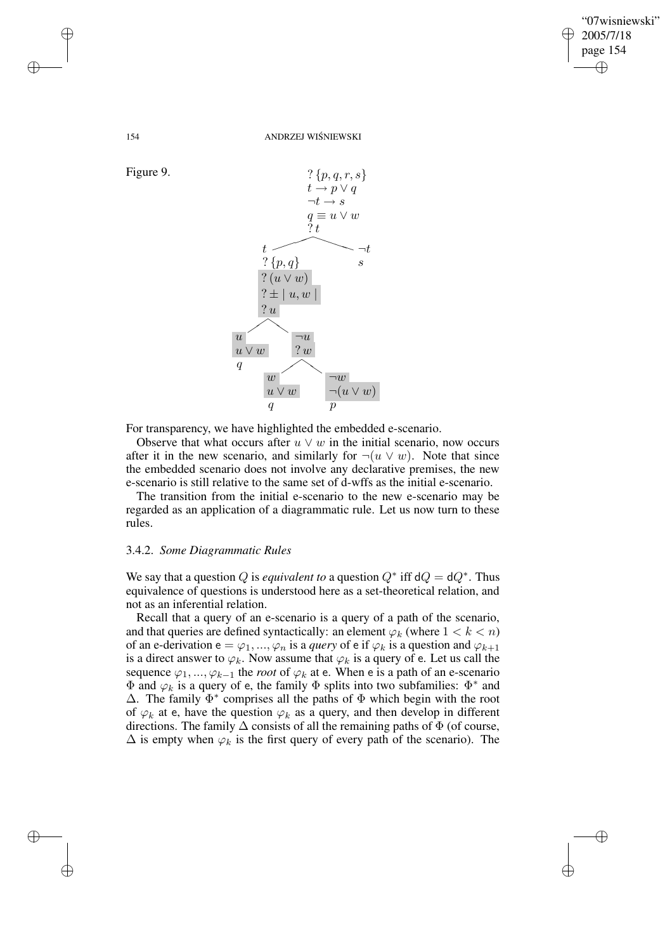✐

154 ANDRZEJ WIŚNIEWSKI



For transparency, we have highlighted the embedded e-scenario.

Observe that what occurs after  $u \vee w$  in the initial scenario, now occurs after it in the new scenario, and similarly for  $\neg(u \lor w)$ . Note that since the embedded scenario does not involve any declarative premises, the new e-scenario is still relative to the same set of d-wffs as the initial e-scenario.

The transition from the initial e-scenario to the new e-scenario may be regarded as an application of a diagrammatic rule. Let us now turn to these rules.

#### 3.4.2. *Some Diagrammatic Rules*

We say that a question Q is *equivalent* to a question  $Q^*$  iff  $dQ = dQ^*$ . Thus equivalence of questions is understood here as a set-theoretical relation, and not as an inferential relation.

Recall that a query of an e-scenario is a query of a path of the scenario, and that queries are defined syntactically: an element  $\varphi_k$  (where  $1 < k < n$ ) of an e-derivation  $e = \varphi_1, ..., \varphi_n$  is a *query* of e if  $\varphi_k$  is a question and  $\varphi_{k+1}$ is a direct answer to  $\varphi_k$ . Now assume that  $\varphi_k$  is a query of e. Let us call the sequence  $\varphi_1, ..., \varphi_{k-1}$  the *root* of  $\varphi_k$  at e. When e is a path of an e-scenario  $\Phi$  and  $\varphi_k$  is a query of e, the family  $\Phi$  splits into two subfamilies:  $\Phi^*$  and  $\Delta$ . The family  $\Phi^*$  comprises all the paths of  $\Phi$  which begin with the root of  $\varphi_k$  at e, have the question  $\varphi_k$  as a query, and then develop in different directions. The family  $\Delta$  consists of all the remaining paths of  $\Phi$  (of course,  $\Delta$  is empty when  $\varphi_k$  is the first query of every path of the scenario). The

Figure 9.

✐

✐

✐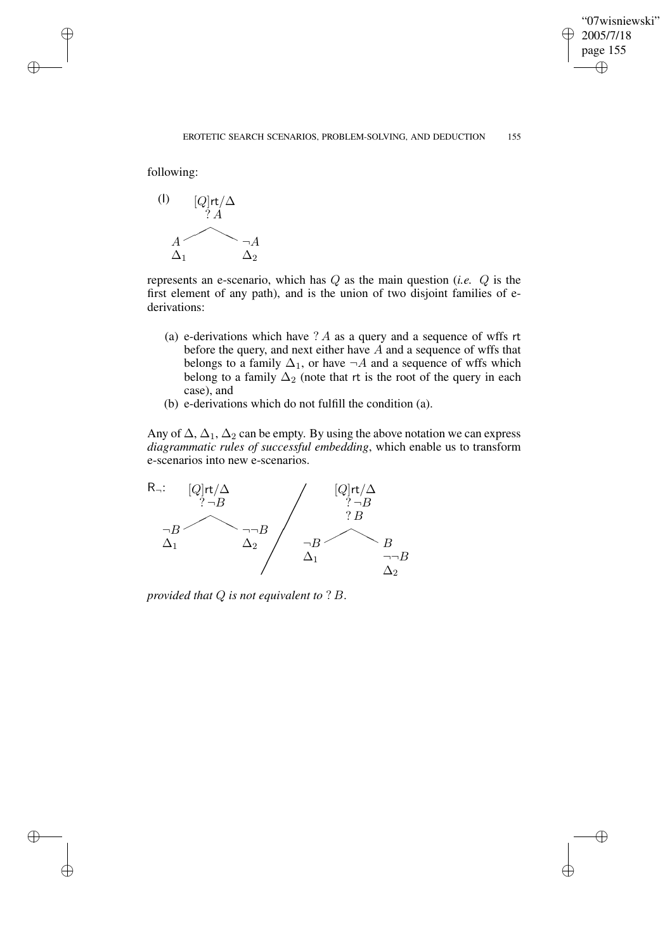✐

following:

✐

✐

✐

✐



represents an e-scenario, which has Q as the main question (*i.e.* Q is the first element of any path), and is the union of two disjoint families of ederivations:

- (a) e-derivations which have  $? A$  as a query and a sequence of wffs rt before the query, and next either have A and a sequence of wffs that belongs to a family  $\Delta_1$ , or have  $\neg A$  and a sequence of wffs which belong to a family  $\Delta_2$  (note that rt is the root of the query in each case), and
- (b) e-derivations which do not fulfill the condition (a).

Any of  $\Delta$ ,  $\Delta_1$ ,  $\Delta_2$  can be empty. By using the above notation we can express *diagrammatic rules of successful embedding*, which enable us to transform e-scenarios into new e-scenarios.



*provided that* Q *is not equivalent to* ? B.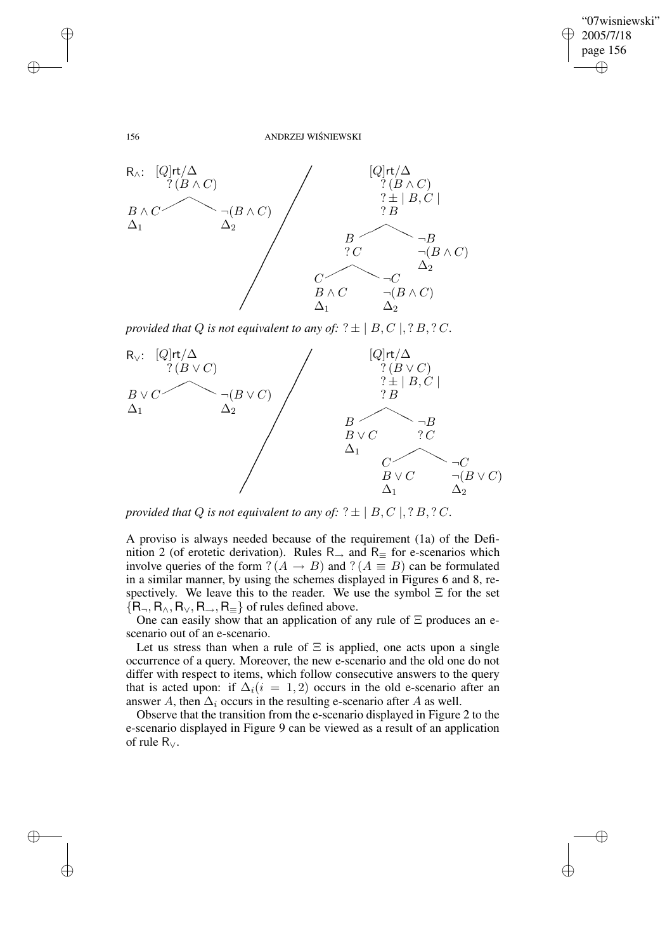$\bigoplus$ 

✐

#### 156 ANDRZEJ WIŚNIEWSKI



*provided that*  $Q$  *is not equivalent to any of:*  $? \pm |B, C|$ ,  $? B, ?C$ .



*provided that*  $Q$  *is not equivalent to any of:*  $? \pm |B, C|$ ,  $? B, ? C$ .

A proviso is always needed because of the requirement (1a) of the Definition 2 (of erotetic derivation). Rules  $R_{\rightarrow}$  and  $R_{\equiv}$  for e-scenarios which involve queries of the form  $? (A \rightarrow B)$  and  $? (A \equiv B)$  can be formulated in a similar manner, by using the schemes displayed in Figures 6 and 8, respectively. We leave this to the reader. We use the symbol  $\Xi$  for the set  ${R_{\neg}, R_{\wedge}, R_{\vee}, R_{\Rightarrow}, R_{\equiv}}$  of rules defined above.

One can easily show that an application of any rule of  $\Xi$  produces an escenario out of an e-scenario.

Let us stress than when a rule of  $\Xi$  is applied, one acts upon a single occurrence of a query. Moreover, the new e-scenario and the old one do not differ with respect to items, which follow consecutive answers to the query that is acted upon: if  $\Delta_i(i = 1, 2)$  occurs in the old e-scenario after an answer A, then  $\Delta_i$  occurs in the resulting e-scenario after A as well.

Observe that the transition from the e-scenario displayed in Figure 2 to the e-scenario displayed in Figure 9 can be viewed as a result of an application of rule R∨.

✐

✐

✐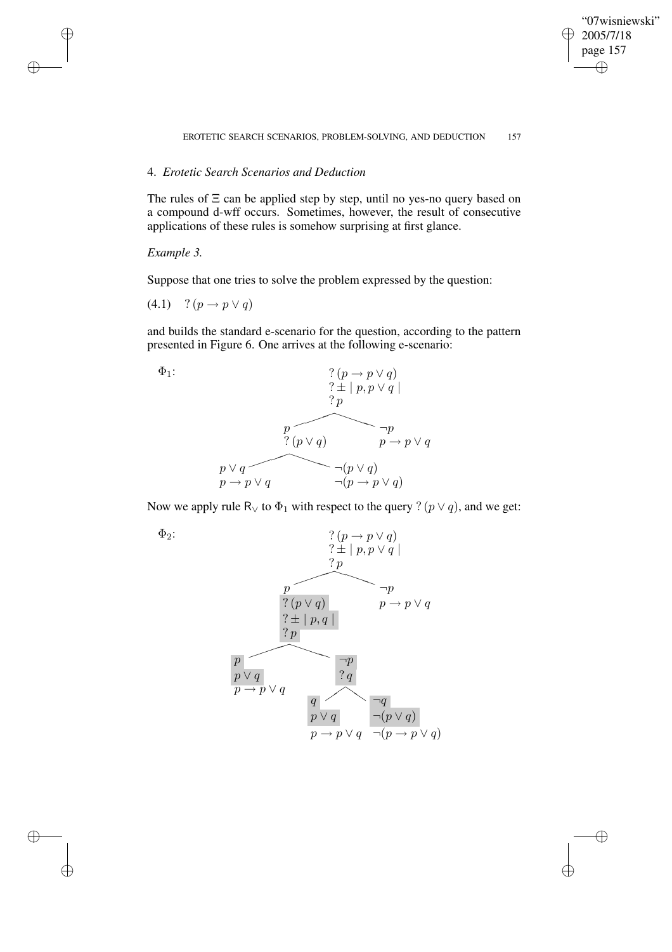# "07wisniewski" 2005/7/18 page 157 ✐ ✐

 $\bigoplus$ 

✐

#### EROTETIC SEARCH SCENARIOS, PROBLEM-SOLVING, AND DEDUCTION 157

# 4. *Erotetic Search Scenarios and Deduction*

The rules of  $\Xi$  can be applied step by step, until no yes-no query based on a compound d-wff occurs. Sometimes, however, the result of consecutive applications of these rules is somehow surprising at first glance.

## *Example 3.*

✐

✐

✐

✐

Suppose that one tries to solve the problem expressed by the question:

(4.1) ?  $(p \to p \lor q)$ 

and builds the standard e-scenario for the question, according to the pattern presented in Figure 6. One arrives at the following e-scenario:





Now we apply rule R<sub>∨</sub> to  $\Phi_1$  with respect to the query ? ( $p \lor q$ ), and we get:

 $\Phi_2$ :

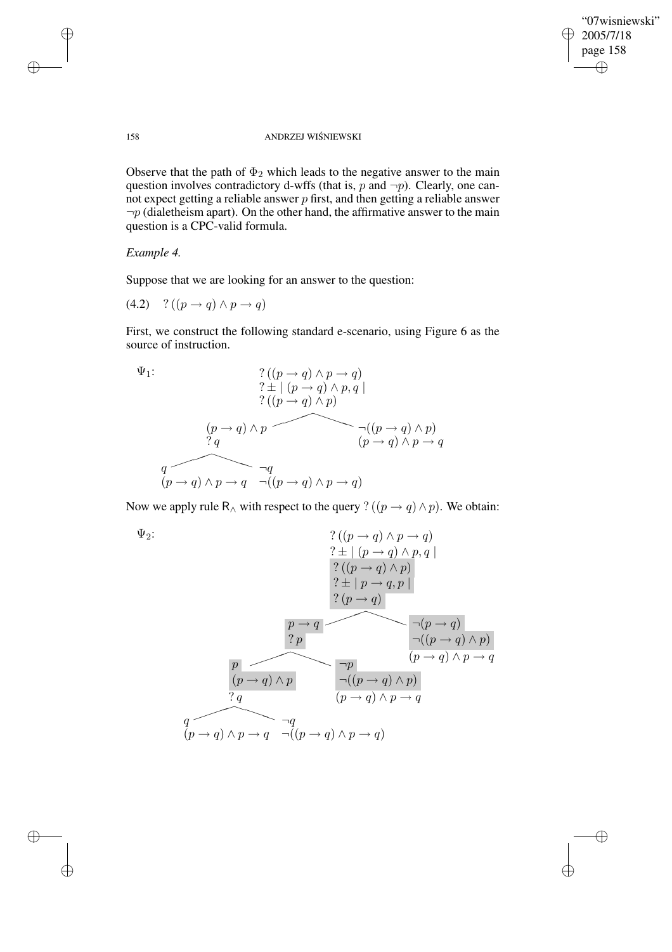$\bigoplus$ 

✐

# 158 ANDRZEJ WIŚNIEWSKI

Observe that the path of  $\Phi_2$  which leads to the negative answer to the main question involves contradictory d-wffs (that is,  $p$  and  $\neg p$ ). Clearly, one cannot expect getting a reliable answer  $p$  first, and then getting a reliable answer  $\neg p$  (dialetheism apart). On the other hand, the affirmative answer to the main question is a CPC-valid formula.

# *Example 4.*

Suppose that we are looking for an answer to the question:

$$
(4.2) \quad ? \left( (p \rightarrow q) \land p \rightarrow q \right)
$$

First, we construct the following standard e-scenario, using Figure 6 as the source of instruction.

$$
\Psi_1:
$$
\n
$$
\begin{array}{c}\n? ((p \rightarrow q) \land p \rightarrow q) \\
? \pm | (p \rightarrow q) \land p, q | \\
? ((p \rightarrow q) \land p) \\
? q\n\end{array}
$$
\n
$$
\begin{array}{c}\n(p \rightarrow q) \land p \rightarrow q \\
? q \rightarrow q \land p \rightarrow q\n\end{array}
$$
\n
$$
\begin{array}{c}\n((p \rightarrow q) \land p) \\
(p \rightarrow q) \land p \rightarrow q\n\end{array}
$$
\n
$$
\begin{array}{c}\n(q \rightarrow q) \land p \rightarrow q \\
(q \rightarrow q) \land p \rightarrow q\n\end{array}
$$

Now we apply rule R<sub>∧</sub> with respect to the query ? ( $(p \rightarrow q) \land p$ ). We obtain:

$$
\Psi_2:
$$
\n
$$
\begin{array}{c}\n?((p \to q) \land p \to q) \\
? \pm | (p \to q) \land p, q | \\
? ((p \to q) \land p) \\
? \pm | p \to q, p | \\
? (p \to q) |\n\end{array}
$$
\n
$$
\begin{array}{c}\nP \to q \\
? p \\
? p\n\end{array}
$$
\n
$$
\begin{array}{c}\np \to q \\
? p \\
? p\n\end{array}
$$
\n
$$
\begin{array}{c}\n(p \to q) \land p \\
? q \\
? q\n\end{array}
$$
\n
$$
\begin{array}{c}\n(p \to q) \land p \\
? q \\
(p \to q) \land p \to q\n\end{array}
$$
\n
$$
\begin{array}{c}\nq \\
q \\
(p \to q) \land p \to q\n\end{array}
$$
\n
$$
\begin{array}{c}\nq \\
q \\
(p \to q) \land p \to q\n\end{array}
$$

✐

✐

✐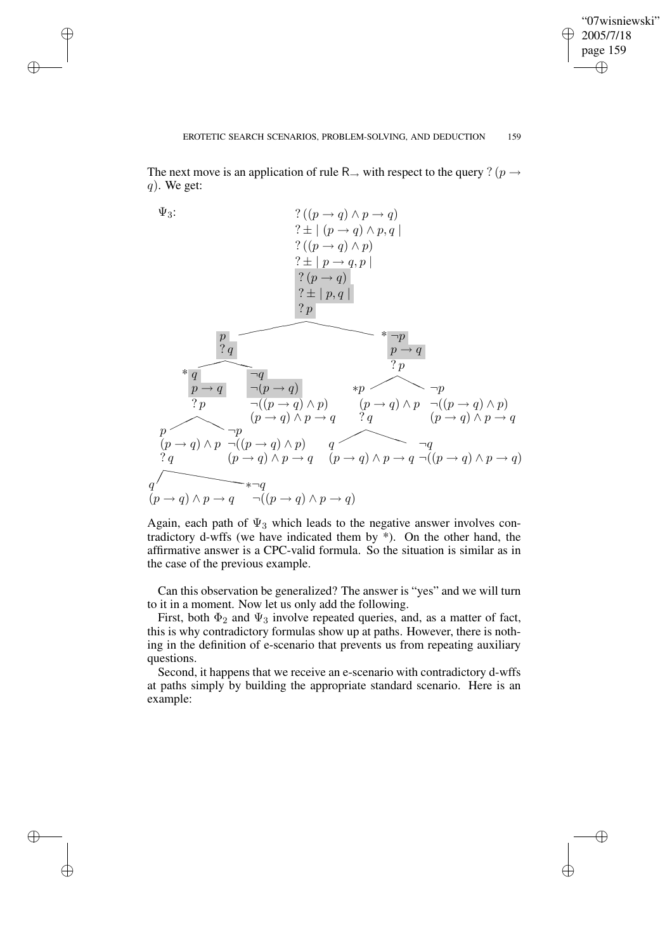✐

#### EROTETIC SEARCH SCENARIOS, PROBLEM-SOLVING, AND DEDUCTION 159

The next move is an application of rule R<sub>→</sub> with respect to the query ? ( $p \rightarrow$  $q$ ). We get:

✐

✐

✐

✐



Again, each path of  $\Psi_3$  which leads to the negative answer involves contradictory d-wffs (we have indicated them by \*). On the other hand, the affirmative answer is a CPC-valid formula. So the situation is similar as in the case of the previous example.

Can this observation be generalized? The answer is "yes" and we will turn to it in a moment. Now let us only add the following.

First, both  $\Phi_2$  and  $\Psi_3$  involve repeated queries, and, as a matter of fact, this is why contradictory formulas show up at paths. However, there is nothing in the definition of e-scenario that prevents us from repeating auxiliary questions.

Second, it happens that we receive an e-scenario with contradictory d-wffs at paths simply by building the appropriate standard scenario. Here is an example: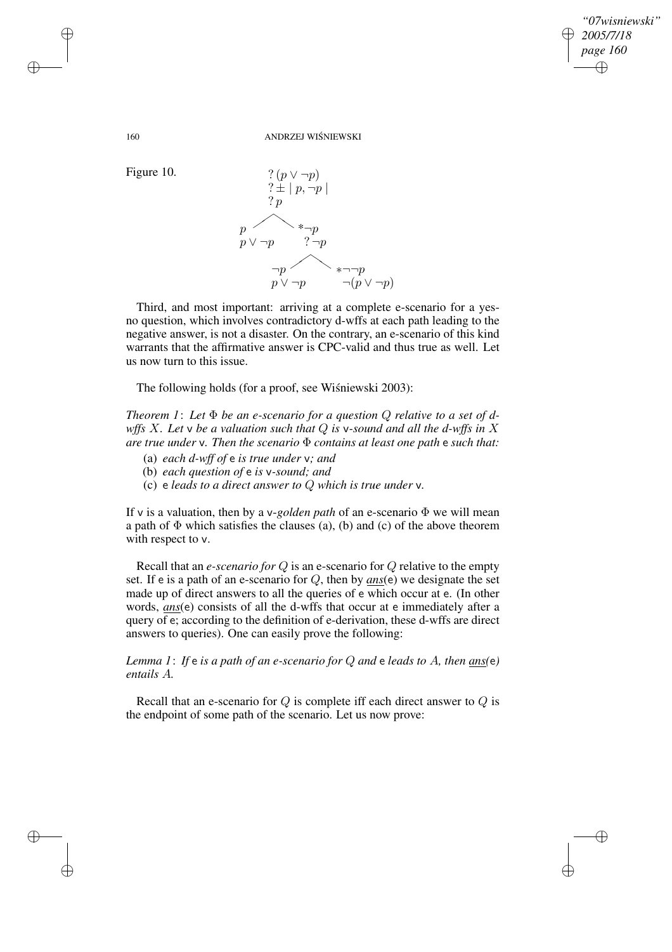✐

160 ANDRZEJ WIŚNIEWSKI



Third, and most important: arriving at a complete e-scenario for a yesno question, which involves contradictory d-wffs at each path leading to the negative answer, is not a disaster. On the contrary, an e-scenario of this kind warrants that the affirmative answer is CPC-valid and thus true as well. Let us now turn to this issue.

The following holds (for a proof, see Wiśniewski 2003):

*Theorem* 1: Let  $\Phi$  *be* an *e*-scenario for a question Q relative to a set of d*wffs* X*. Let* v *be a valuation such that* Q *is* v*-sound and all the d-wffs in* X *are true under* v*. Then the scenario* Φ *contains at least one path* e *such that:*

- (a) *each d-wff of* e *is true under* v*; and*
- (b) *each question of* e *is* v*-sound; and*
- (c) e *leads to a direct answer to* Q *which is true under* v*.*

If v is a valuation, then by a v-*golden path* of an e-scenario Φ we will mean a path of  $\Phi$  which satisfies the clauses (a), (b) and (c) of the above theorem with respect to  $v$ .

Recall that an *e-scenario for* Q is an e-scenario for Q relative to the empty set. If e is a path of an e-scenario for Q, then by *ans*(e) we designate the set made up of direct answers to all the queries of e which occur at e. (In other words, *ans*(e) consists of all the d-wffs that occur at e immediately after a query of e; according to the definition of e-derivation, these d-wffs are direct answers to queries). One can easily prove the following:

*Lemma 1*: *If* e *is a path of an e-scenario for* Q *and* e *leads to* A*, then ans(*e*) entails* A*.*

Recall that an e-scenario for  $Q$  is complete iff each direct answer to  $Q$  is the endpoint of some path of the scenario. Let us now prove:

✐

✐

✐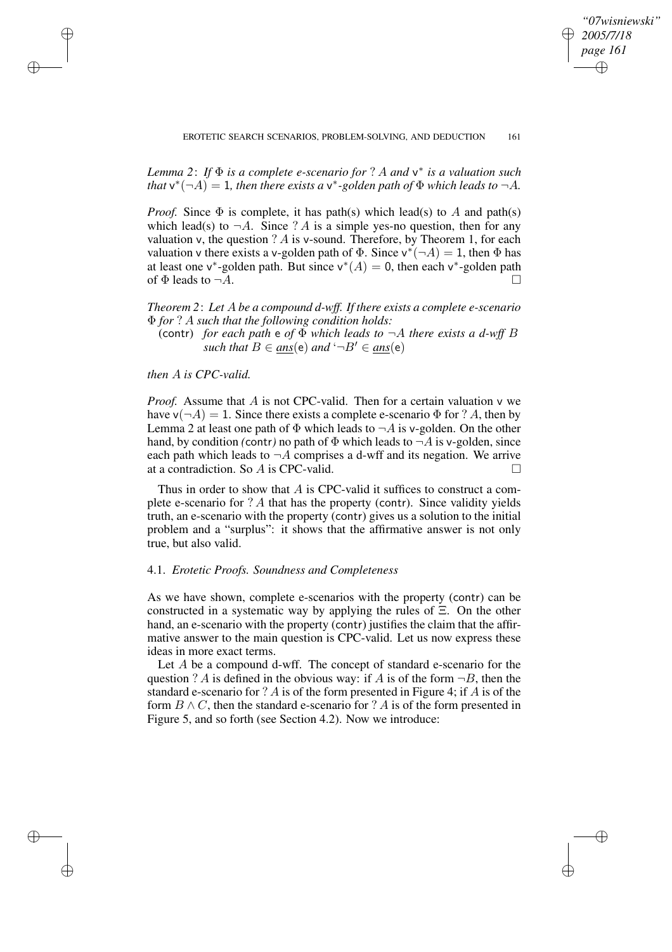✐

*Lemma 2*: *If* Φ *is a complete e-scenario for* ? A *and* v ∗ *is a valuation such that*  $v^*(-A) = 1$ *, then there exists a*  $v^*$ -golden path of  $\Phi$  which leads to  $\neg A$ .

*Proof.* Since  $\Phi$  is complete, it has path(s) which lead(s) to A and path(s) which lead(s) to  $\neg A$ . Since ? A is a simple yes-no question, then for any valuation v, the question  $? A$  is v-sound. Therefore, by Theorem 1, for each valuation v there exists a v-golden path of  $\Phi$ . Since  $v^*(-A) = 1$ , then  $\Phi$  has at least one v\*-golden path. But since  $v^*(A) = 0$ , then each v\*-golden path of  $\Phi$  leads to  $\neg A$ .

*Theorem 2*: *Let* A *be a compound d-wff. If there exists a complete e-scenario* Φ *for* ? A *such that the following condition holds:*

(contr) *for each path*  $e$  *of*  $\Phi$  *which leads to*  $\neg A$  *there exists a d-wff B such that*  $B \in ans(e)$  *and*  $\neg B' \in ans(e)$ 

*then* A *is CPC-valid.*

✐

✐

✐

✐

*Proof.* Assume that A is not CPC-valid. Then for a certain valuation v we have  $\mathsf{v}(\neg A) = 1$ . Since there exists a complete e-scenario  $\Phi$  for ? A, then by Lemma 2 at least one path of  $\Phi$  which leads to  $\neg A$  is v-golden. On the other hand, by condition *(contr)* no path of  $\Phi$  which leads to  $\neg A$  is v-golden, since each path which leads to  $\neg A$  comprises a d-wff and its negation. We arrive at a contradiction. So A is CPC-valid.

Thus in order to show that A is CPC-valid it suffices to construct a complete e-scenario for  $? A$  that has the property (contr). Since validity yields truth, an e-scenario with the property (contr) gives us a solution to the initial problem and a "surplus": it shows that the affirmative answer is not only true, but also valid.

### 4.1. *Erotetic Proofs. Soundness and Completeness*

As we have shown, complete e-scenarios with the property (contr) can be constructed in a systematic way by applying the rules of Ξ. On the other hand, an e-scenario with the property (contr) justifies the claim that the affirmative answer to the main question is CPC-valid. Let us now express these ideas in more exact terms.

Let A be a compound d-wff. The concept of standard e-scenario for the question ? A is defined in the obvious way: if A is of the form  $\neg B$ , then the standard e-scenario for ? A is of the form presented in Figure 4; if A is of the form  $B \wedge C$ , then the standard e-scenario for ? A is of the form presented in Figure 5, and so forth (see Section 4.2). Now we introduce: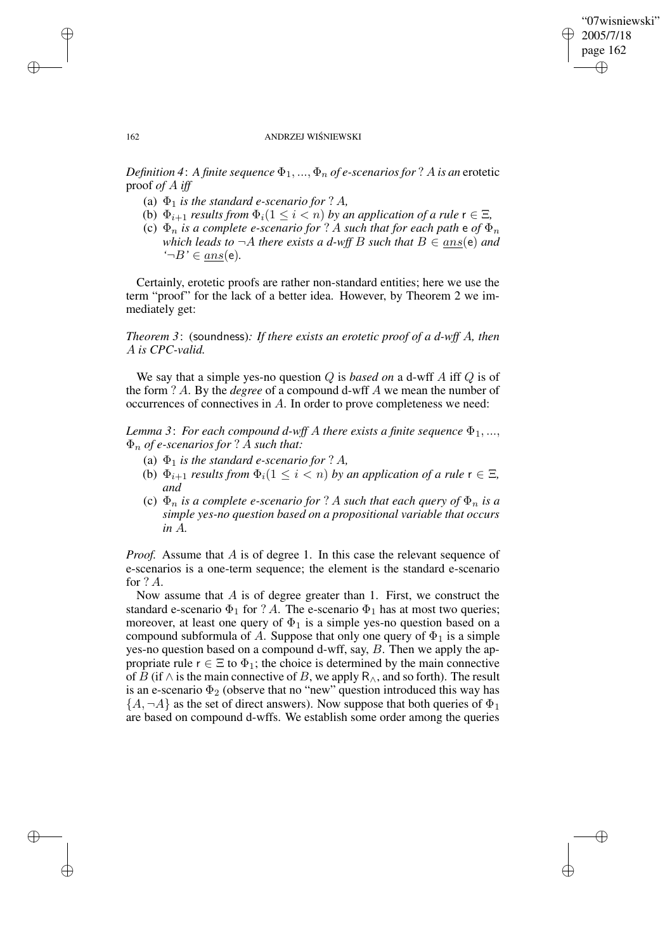✐

#### 162 ANDRZEJ WIŚNIEWSKI

*Definition* 4: A *finite sequence*  $\Phi_1, ..., \Phi_n$  *of e-scenarios for* ? A *is an* erotetic proof *of* A *iff*

- (a)  $\Phi_1$  *is the standard e-scenario for* ? A,
- (b)  $\Phi_{i+1}$  *results from*  $\Phi_i$  ( $1 \leq i < n$ ) *by an application of a rule*  $\mathsf{r} \in \Xi$ *,*
- (c)  $\Phi_n$  *is a complete e-scenario for* ? A *such that for each path*  $\mathbf{e}$  *of*  $\Phi_n$ *which leads to*  $\neg A$  *there exists a d-wff B such that*  $B \in ans(e)$  *and '*¬B*'* ∈ ans(e)*.*

Certainly, erotetic proofs are rather non-standard entities; here we use the term "proof" for the lack of a better idea. However, by Theorem 2 we immediately get:

*Theorem 3*: (soundness)*: If there exists an erotetic proof of a d-wff* A*, then* A *is CPC-valid.*

We say that a simple yes-no question Q is *based on* a d-wff A iff Q is of the form ? A. By the *degree* of a compound d-wff A we mean the number of occurrences of connectives in A. In order to prove completeness we need:

*Lemma* 3: *For each compound d-wff A there exists a finite sequence*  $\Phi_1, \ldots,$ Φ<sup>n</sup> *of e-scenarios for* ? A *such that:*

- (a)  $\Phi_1$  *is the standard e-scenario for* ? A,
- (b)  $\Phi_{i+1}$  *results from*  $\Phi_i(1 \leq i < n)$  *by an application of a rule*  $\mathsf{r} \in \Xi$ *, and*
- (c)  $\Phi_n$  *is a complete e-scenario for* ? A *such that each query of*  $\Phi_n$  *is a simple yes-no question based on a propositional variable that occurs in* A*.*

*Proof.* Assume that A is of degree 1. In this case the relevant sequence of e-scenarios is a one-term sequence; the element is the standard e-scenario for ? A.

Now assume that  $A$  is of degree greater than 1. First, we construct the standard e-scenario  $\Phi_1$  for ? A. The e-scenario  $\Phi_1$  has at most two queries; moreover, at least one query of  $\Phi_1$  is a simple yes-no question based on a compound subformula of A. Suppose that only one query of  $\Phi_1$  is a simple yes-no question based on a compound d-wff, say, B. Then we apply the appropriate rule  $r \in \Xi$  to  $\Phi_1$ ; the choice is determined by the main connective of B (if  $\wedge$  is the main connective of B, we apply R<sub> $\wedge$ </sub>, and so forth). The result is an e-scenario  $\Phi_2$  (observe that no "new" question introduced this way has  ${A, \neg A}$  as the set of direct answers). Now suppose that both queries of  $\Phi_1$ are based on compound d-wffs. We establish some order among the queries

✐

✐

✐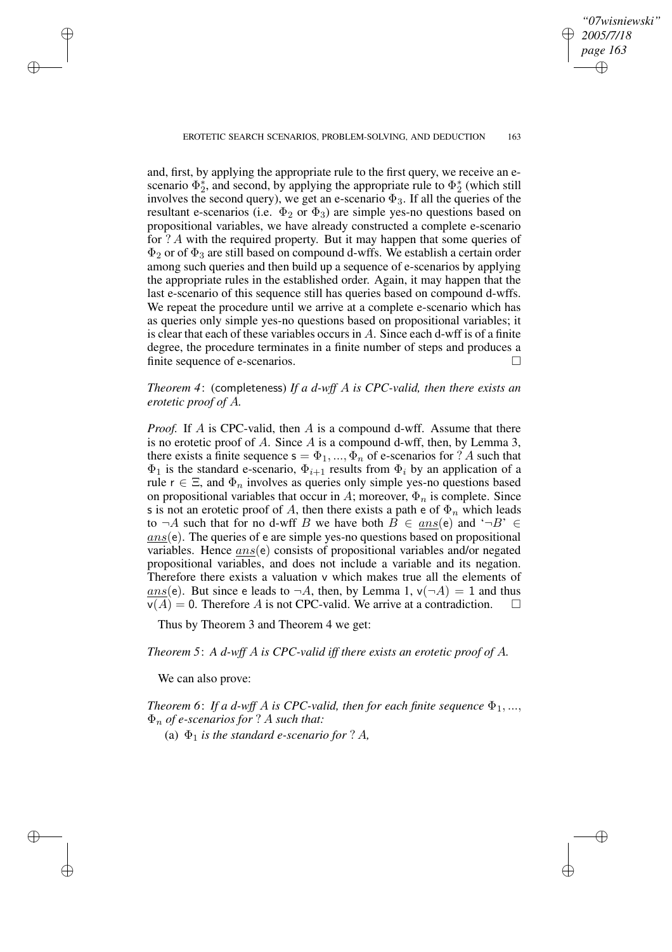✐

#### EROTETIC SEARCH SCENARIOS, PROBLEM-SOLVING, AND DEDUCTION 163

and, first, by applying the appropriate rule to the first query, we receive an escenario  $\Phi_2^*$ <sup>\*</sup><sub>2</sub>, and second, by applying the appropriate rule to  $\Phi_2^*$  $_2^*$  (which still involves the second query), we get an e-scenario  $\Phi_3$ . If all the queries of the resultant e-scenarios (i.e.  $\Phi_2$  or  $\Phi_3$ ) are simple yes-no questions based on propositional variables, we have already constructed a complete e-scenario for ? A with the required property. But it may happen that some queries of  $\Phi_2$  or of  $\Phi_3$  are still based on compound d-wffs. We establish a certain order among such queries and then build up a sequence of e-scenarios by applying the appropriate rules in the established order. Again, it may happen that the last e-scenario of this sequence still has queries based on compound d-wffs. We repeat the procedure until we arrive at a complete e-scenario which has as queries only simple yes-no questions based on propositional variables; it is clear that each of these variables occurs in A. Since each d-wff is of a finite degree, the procedure terminates in a finite number of steps and produces a finite sequence of e-scenarios.

# *Theorem 4*: (completeness) *If a d-wff* A *is CPC-valid, then there exists an erotetic proof of* A*.*

*Proof.* If A is CPC-valid, then A is a compound d-wff. Assume that there is no erotetic proof of A. Since  $A$  is a compound d-wff, then, by Lemma 3, there exists a finite sequence  $s = \Phi_1, ..., \Phi_n$  of e-scenarios for ? A such that  $\Phi_1$  is the standard e-scenario,  $\Phi_{i+1}$  results from  $\Phi_i$  by an application of a rule  $r \in \Xi$ , and  $\Phi_n$  involves as queries only simple yes-no questions based on propositional variables that occur in A; moreover,  $\Phi_n$  is complete. Since s is not an erotetic proof of A, then there exists a path e of  $\Phi_n$  which leads to  $\neg A$  such that for no d-wff B we have both  $B \in ans(e)$  and  $\neg B' \in$  $ans(e)$ . The queries of e are simple yes-no questions based on propositional variables. Hence  $ans(e)$  consists of propositional variables and/or negated propositional variables, and does not include a variable and its negation. Therefore there exists a valuation  $\nu$  which makes true all the elements of ans(e). But since e leads to  $\neg A$ , then, by Lemma 1,  $\nu(\neg A) = 1$  and thus  $v(A) = 0$ . Therefore A is not CPC-valid. We arrive at a contradiction.  $\square$ 

Thus by Theorem 3 and Theorem 4 we get:

*Theorem 5*: *A d-wff* A *is CPC-valid iff there exists an erotetic proof of* A*.*

We can also prove:

✐

✐

✐

✐

*Theorem* 6: *If a d-wff A is CPC-valid, then for each finite sequence*  $\Phi_1$ , ..., Φ<sup>n</sup> *of e-scenarios for* ? A *such that:*

(a)  $\Phi_1$  *is the standard e-scenario for* ? A,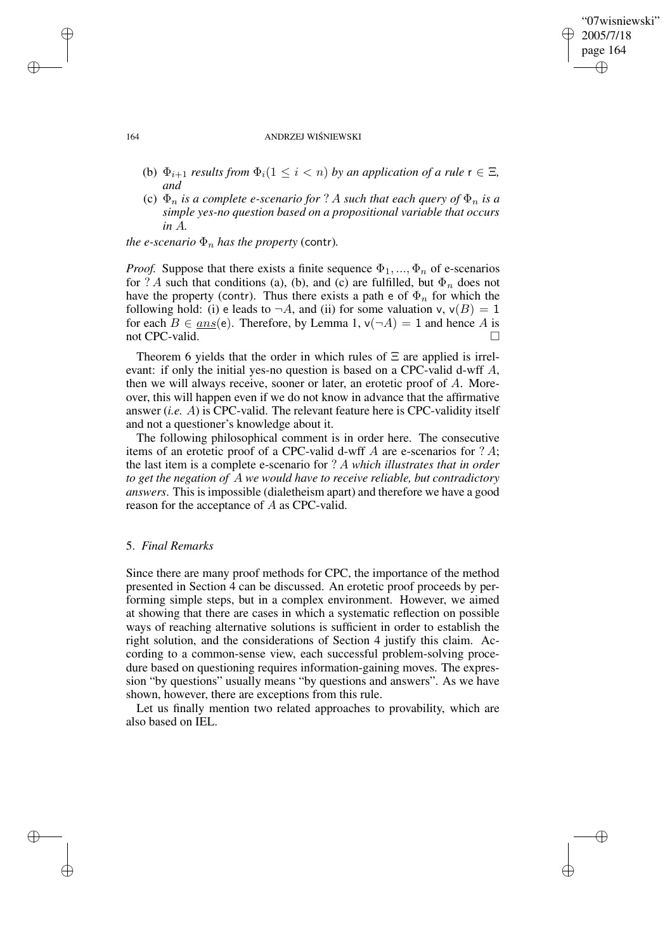## "07wisniewski" 2005/7/18 page 164 ✐ ✐

✐

✐

#### 164 ANDRZEJ WIŚNIEWSKI

- (b)  $\Phi_{i+1}$  *results from*  $\Phi_i$  ( $1 \leq i < n$ ) *by an application of a rule*  $r \in \Xi$ *, and*
- (c)  $\Phi_n$  *is a complete e-scenario for* ? A *such that each query of*  $\Phi_n$  *is a simple yes-no question based on a propositional variable that occurs in* A*.*

*the e-scenario*  $\Phi_n$  *has the property* (contr).

*Proof.* Suppose that there exists a finite sequence  $\Phi_1, ..., \Phi_n$  of e-scenarios for ? A such that conditions (a), (b), and (c) are fulfilled, but  $\Phi_n$  does not have the property (contr). Thus there exists a path e of  $\Phi_n$  for which the following hold: (i) e leads to  $\neg A$ , and (ii) for some valuation v,  $v(B) = 1$ for each  $B \in ans(e)$ . Therefore, by Lemma 1,  $v(\neg A) = 1$  and hence A is not CPC-valid.

Theorem 6 yields that the order in which rules of  $\Xi$  are applied is irrelevant: if only the initial yes-no question is based on a CPC-valid d-wff A, then we will always receive, sooner or later, an erotetic proof of  $A$ . Moreover, this will happen even if we do not know in advance that the affirmative answer (*i.e.* A) is CPC-valid. The relevant feature here is CPC-validity itself and not a questioner's knowledge about it.

The following philosophical comment is in order here. The consecutive items of an erotetic proof of a CPC-valid d-wff  $A$  are e-scenarios for  $? A;$ the last item is a complete e-scenario for ? A *which illustrates that in order to get the negation of* A *we would have to receive reliable, but contradictory answers*. This is impossible (dialetheism apart) and therefore we have a good reason for the acceptance of A as CPC-valid.

### 5. *Final Remarks*

Since there are many proof methods for CPC, the importance of the method presented in Section 4 can be discussed. An erotetic proof proceeds by performing simple steps, but in a complex environment. However, we aimed at showing that there are cases in which a systematic reflection on possible ways of reaching alternative solutions is sufficient in order to establish the right solution, and the considerations of Section 4 justify this claim. According to a common-sense view, each successful problem-solving procedure based on questioning requires information-gaining moves. The expression "by questions" usually means "by questions and answers". As we have shown, however, there are exceptions from this rule.

Let us finally mention two related approaches to provability, which are also based on IEL.

✐

✐

✐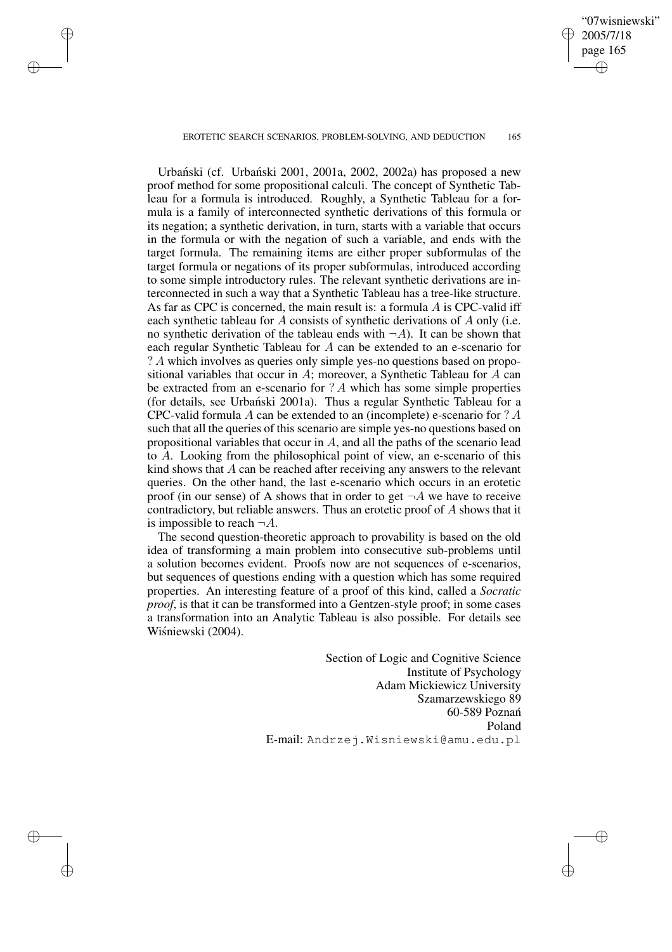EROTETIC SEARCH SCENARIOS, PROBLEM-SOLVING, AND DEDUCTION 165

✐

✐

✐

✐

"07wisniewski" 2005/7/18 page 165

✐

✐

✐

✐

Urbański (cf. Urbański 2001, 2001a, 2002, 2002a) has proposed a new proof method for some propositional calculi. The concept of Synthetic Tableau for a formula is introduced. Roughly, a Synthetic Tableau for a formula is a family of interconnected synthetic derivations of this formula or its negation; a synthetic derivation, in turn, starts with a variable that occurs in the formula or with the negation of such a variable, and ends with the target formula. The remaining items are either proper subformulas of the target formula or negations of its proper subformulas, introduced according to some simple introductory rules. The relevant synthetic derivations are interconnected in such a way that a Synthetic Tableau has a tree-like structure. As far as CPC is concerned, the main result is: a formula  $\ddot{A}$  is CPC-valid iff each synthetic tableau for A consists of synthetic derivations of A only (i.e. no synthetic derivation of the tableau ends with  $\neg A$ ). It can be shown that each regular Synthetic Tableau for A can be extended to an e-scenario for ? A which involves as queries only simple yes-no questions based on propositional variables that occur in A; moreover, a Synthetic Tableau for A can be extracted from an e-scenario for ? A which has some simple properties (for details, see Urbański 2001a). Thus a regular Synthetic Tableau for a CPC-valid formula A can be extended to an (incomplete) e-scenario for ? A such that all the queries of this scenario are simple yes-no questions based on propositional variables that occur in A, and all the paths of the scenario lead to A. Looking from the philosophical point of view, an e-scenario of this kind shows that A can be reached after receiving any answers to the relevant queries. On the other hand, the last e-scenario which occurs in an erotetic proof (in our sense) of A shows that in order to get  $\neg A$  we have to receive contradictory, but reliable answers. Thus an erotetic proof of A shows that it is impossible to reach  $\neg A$ .

The second question-theoretic approach to provability is based on the old idea of transforming a main problem into consecutive sub-problems until a solution becomes evident. Proofs now are not sequences of e-scenarios, but sequences of questions ending with a question which has some required properties. An interesting feature of a proof of this kind, called a *Socratic proof*, is that it can be transformed into a Gentzen-style proof; in some cases a transformation into an Analytic Tableau is also possible. For details see Wiśniewski (2004).

> Section of Logic and Cognitive Science Institute of Psychology Adam Mickiewicz University Szamarzewskiego 89 60-589 Poznan´ Poland E-mail: Andrzej.Wisniewski@amu.edu.pl